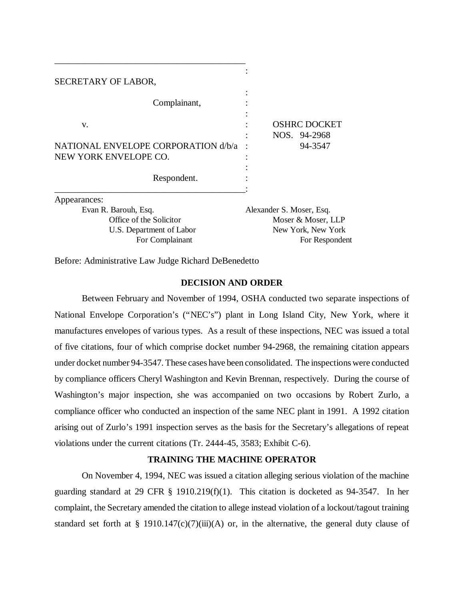| SECRETARY OF LABOR,                                                                            |                                                                                        |
|------------------------------------------------------------------------------------------------|----------------------------------------------------------------------------------------|
| Complainant,                                                                                   |                                                                                        |
| V.                                                                                             | <b>OSHRC DOCKET</b><br>NOS. 94-2968                                                    |
| NATIONAL ENVELOPE CORPORATION d/b/a<br>NEW YORK ENVELOPE CO.                                   | 94-3547                                                                                |
| Respondent.                                                                                    |                                                                                        |
| Appearances:                                                                                   |                                                                                        |
| Evan R. Barouh, Esq.<br>Office of the Solicitor<br>U.S. Department of Labor<br>For Complainant | Alexander S. Moser, Esq.<br>Moser & Moser, LLP<br>New York, New York<br>For Respondent |

Before: Administrative Law Judge Richard DeBenedetto

\_\_\_\_\_\_\_\_\_\_\_\_\_\_\_\_\_\_\_\_\_\_\_\_\_\_\_\_\_\_\_\_\_\_\_\_\_\_\_\_\_\_

#### **DECISION AND ORDER**

Between February and November of 1994, OSHA conducted two separate inspections of National Envelope Corporation's ("NEC's") plant in Long Island City, New York, where it manufactures envelopes of various types. As a result of these inspections, NEC was issued a total of five citations, four of which comprise docket number 94-2968, the remaining citation appears under docket number 94-3547. These cases have been consolidated. The inspections were conducted by compliance officers Cheryl Washington and Kevin Brennan, respectively. During the course of Washington's major inspection, she was accompanied on two occasions by Robert Zurlo, a compliance officer who conducted an inspection of the same NEC plant in 1991. A 1992 citation arising out of Zurlo's 1991 inspection serves as the basis for the Secretary's allegations of repeat violations under the current citations (Tr. 2444-45, 3583; Exhibit C-6).

# **TRAINING THE MACHINE OPERATOR**

On November 4, 1994, NEC was issued a citation alleging serious violation of the machine guarding standard at 29 CFR § 1910.219(f)(1). This citation is docketed as 94-3547. In her complaint, the Secretary amended the citation to allege instead violation of a lockout/tagout training standard set forth at § 1910.147(c)(7)(iii)(A) or, in the alternative, the general duty clause of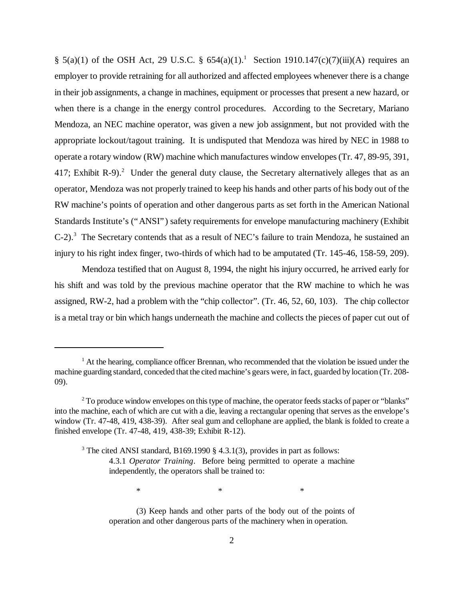§ 5(a)(1) of the OSH Act, 29 U.S.C. § 654(a)(1).<sup>1</sup> Section 1910.147(c)(7)(iii)(A) requires an employer to provide retraining for all authorized and affected employees whenever there is a change in their job assignments, a change in machines, equipment or processes that present a new hazard, or when there is a change in the energy control procedures. According to the Secretary, Mariano Mendoza, an NEC machine operator, was given a new job assignment, but not provided with the appropriate lockout/tagout training. It is undisputed that Mendoza was hired by NEC in 1988 to operate a rotary window (RW) machine which manufactures window envelopes (Tr. 47, 89-95, 391, 417; Exhibit R-9).<sup>2</sup> Under the general duty clause, the Secretary alternatively alleges that as an operator, Mendoza was not properly trained to keep his hands and other parts of his body out of the RW machine's points of operation and other dangerous parts as set forth in the American National Standards Institute's ("ANSI") safety requirements for envelope manufacturing machinery (Exhibit  $C-2$ ).<sup>3</sup> The Secretary contends that as a result of NEC's failure to train Mendoza, he sustained an injury to his right index finger, two-thirds of which had to be amputated (Tr. 145-46, 158-59, 209).

Mendoza testified that on August 8, 1994, the night his injury occurred, he arrived early for his shift and was told by the previous machine operator that the RW machine to which he was assigned, RW-2, had a problem with the "chip collector". (Tr. 46, 52, 60, 103). The chip collector is a metal tray or bin which hangs underneath the machine and collects the pieces of paper cut out of

 $*$   $*$   $*$ 

(3) Keep hands and other parts of the body out of the points of operation and other dangerous parts of the machinery when in operation.

<sup>&</sup>lt;sup>1</sup> At the hearing, compliance officer Brennan, who recommended that the violation be issued under the machine guarding standard, conceded that the cited machine's gears were, in fact, guarded by location (Tr. 208- 09).

 $2^2$  To produce window envelopes on this type of machine, the operator feeds stacks of paper or "blanks" into the machine, each of which are cut with a die, leaving a rectangular opening that serves as the envelope's window (Tr. 47-48, 419, 438-39). After seal gum and cellophane are applied, the blank is folded to create a finished envelope (Tr. 47-48, 419, 438-39; Exhibit R-12).

<sup>&</sup>lt;sup>3</sup> The cited ANSI standard, B169.1990 § 4.3.1(3), provides in part as follows: 4.3.1 *Operator Training*. Before being permitted to operate a machine independently, the operators shall be trained to: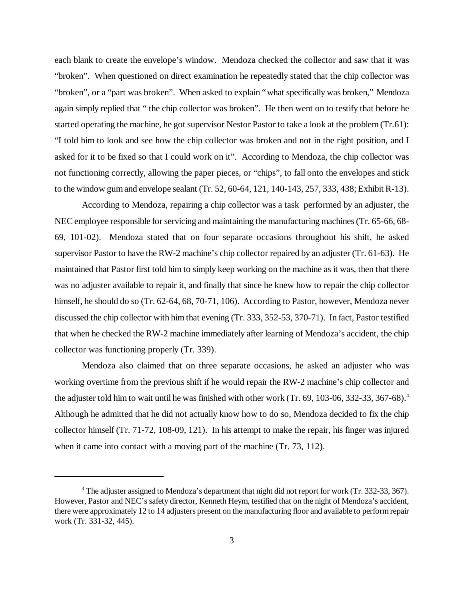each blank to create the envelope's window. Mendoza checked the collector and saw that it was "broken". When questioned on direct examination he repeatedly stated that the chip collector was "broken", or a "part was broken". When asked to explain "what specifically was broken," Mendoza again simply replied that " the chip collector was broken". He then went on to testify that before he started operating the machine, he got supervisor Nestor Pastor to take a look at the problem (Tr.61): "I told him to look and see how the chip collector was broken and not in the right position, and I asked for it to be fixed so that I could work on it". According to Mendoza, the chip collector was not functioning correctly, allowing the paper pieces, or "chips", to fall onto the envelopes and stick to the window gum and envelope sealant (Tr. 52, 60-64, 121, 140-143, 257, 333, 438; Exhibit R-13).

According to Mendoza, repairing a chip collector was a task performed by an adjuster, the NEC employee responsible for servicing and maintaining the manufacturing machines (Tr. 65-66, 68- 69, 101-02). Mendoza stated that on four separate occasions throughout his shift, he asked supervisor Pastor to have the RW-2 machine's chip collector repaired by an adjuster (Tr. 61-63). He maintained that Pastor first told him to simply keep working on the machine as it was, then that there was no adjuster available to repair it, and finally that since he knew how to repair the chip collector himself, he should do so (Tr. 62-64, 68, 70-71, 106). According to Pastor, however, Mendoza never discussed the chip collector with him that evening (Tr. 333, 352-53, 370-71). In fact, Pastor testified that when he checked the RW-2 machine immediately after learning of Mendoza's accident, the chip collector was functioning properly (Tr. 339).

Mendoza also claimed that on three separate occasions, he asked an adjuster who was working overtime from the previous shift if he would repair the RW-2 machine's chip collector and the adjuster told him to wait until he was finished with other work (Tr. 69, 103-06, 332-33, 367-68).<sup>4</sup> Although he admitted that he did not actually know how to do so, Mendoza decided to fix the chip collector himself (Tr. 71-72, 108-09, 121). In his attempt to make the repair, his finger was injured when it came into contact with a moving part of the machine (Tr. 73, 112).

<sup>&</sup>lt;sup>4</sup> The adjuster assigned to Mendoza's department that night did not report for work (Tr. 332-33, 367). However, Pastor and NEC's safety director, Kenneth Heym, testified that on the night of Mendoza's accident, there were approximately 12 to 14 adjusters present on the manufacturing floor and available to perform repair work (Tr. 331-32, 445).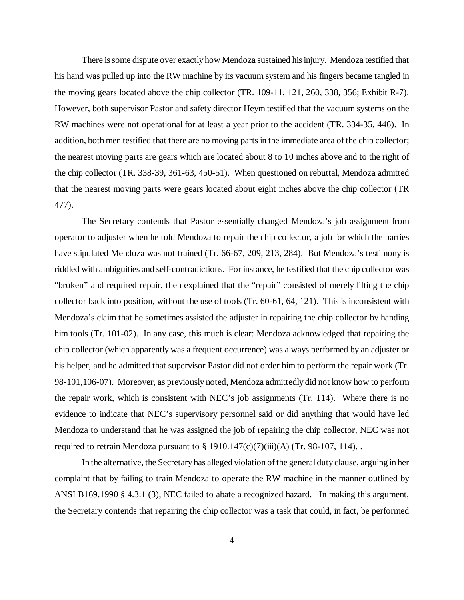There is some dispute over exactly how Mendoza sustained his injury. Mendoza testified that his hand was pulled up into the RW machine by its vacuum system and his fingers became tangled in the moving gears located above the chip collector (TR. 109-11, 121, 260, 338, 356; Exhibit R-7). However, both supervisor Pastor and safety director Heym testified that the vacuum systems on the RW machines were not operational for at least a year prior to the accident (TR. 334-35, 446). In addition, both men testified that there are no moving parts in the immediate area of the chip collector; the nearest moving parts are gears which are located about 8 to 10 inches above and to the right of the chip collector (TR. 338-39, 361-63, 450-51). When questioned on rebuttal, Mendoza admitted that the nearest moving parts were gears located about eight inches above the chip collector (TR 477).

The Secretary contends that Pastor essentially changed Mendoza's job assignment from operator to adjuster when he told Mendoza to repair the chip collector, a job for which the parties have stipulated Mendoza was not trained (Tr. 66-67, 209, 213, 284). But Mendoza's testimony is riddled with ambiguities and self-contradictions. For instance, he testified that the chip collector was "broken" and required repair, then explained that the "repair" consisted of merely lifting the chip collector back into position, without the use of tools (Tr. 60-61, 64, 121). This is inconsistent with Mendoza's claim that he sometimes assisted the adjuster in repairing the chip collector by handing him tools (Tr. 101-02). In any case, this much is clear: Mendoza acknowledged that repairing the chip collector (which apparently was a frequent occurrence) was always performed by an adjuster or his helper, and he admitted that supervisor Pastor did not order him to perform the repair work (Tr. 98-101,106-07). Moreover, as previously noted, Mendoza admittedly did not know how to perform the repair work, which is consistent with NEC's job assignments (Tr. 114). Where there is no evidence to indicate that NEC's supervisory personnel said or did anything that would have led Mendoza to understand that he was assigned the job of repairing the chip collector, NEC was not required to retrain Mendoza pursuant to  $\S$  1910.147(c)(7)(iii)(A) (Tr. 98-107, 114).

In the alternative, the Secretary has alleged violation of the general duty clause, arguing in her complaint that by failing to train Mendoza to operate the RW machine in the manner outlined by ANSI B169.1990 § 4.3.1 (3), NEC failed to abate a recognized hazard. In making this argument, the Secretary contends that repairing the chip collector was a task that could, in fact, be performed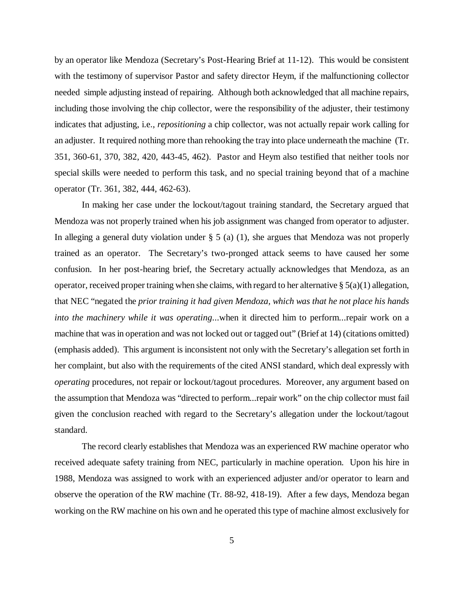by an operator like Mendoza (Secretary's Post-Hearing Brief at 11-12). This would be consistent with the testimony of supervisor Pastor and safety director Heym, if the malfunctioning collector needed simple adjusting instead of repairing. Although both acknowledged that all machine repairs, including those involving the chip collector, were the responsibility of the adjuster, their testimony indicates that adjusting, i.e., *repositioning* a chip collector, was not actually repair work calling for an adjuster. It required nothing more than rehooking the tray into place underneath the machine (Tr. 351, 360-61, 370, 382, 420, 443-45, 462). Pastor and Heym also testified that neither tools nor special skills were needed to perform this task, and no special training beyond that of a machine operator (Tr. 361, 382, 444, 462-63).

In making her case under the lockout/tagout training standard, the Secretary argued that Mendoza was not properly trained when his job assignment was changed from operator to adjuster. In alleging a general duty violation under  $\S$  5 (a) (1), she argues that Mendoza was not properly trained as an operator. The Secretary's two-pronged attack seems to have caused her some confusion. In her post-hearing brief, the Secretary actually acknowledges that Mendoza, as an operator, received proper training when she claims, with regard to her alternative  $\S(3a)(1)$  allegation, that NEC "negated the *prior training it had given Mendoza, which was that he not place his hands into the machinery while it was operating*...when it directed him to perform...repair work on a machine that was in operation and was not locked out or tagged out" (Brief at 14) (citations omitted) (emphasis added). This argument is inconsistent not only with the Secretary's allegation set forth in her complaint, but also with the requirements of the cited ANSI standard, which deal expressly with *operating* procedures, not repair or lockout/tagout procedures. Moreover, any argument based on the assumption that Mendoza was "directed to perform...repair work" on the chip collector must fail given the conclusion reached with regard to the Secretary's allegation under the lockout/tagout standard.

The record clearly establishes that Mendoza was an experienced RW machine operator who received adequate safety training from NEC, particularly in machine operation. Upon his hire in 1988, Mendoza was assigned to work with an experienced adjuster and/or operator to learn and observe the operation of the RW machine (Tr. 88-92, 418-19). After a few days, Mendoza began working on the RW machine on his own and he operated this type of machine almost exclusively for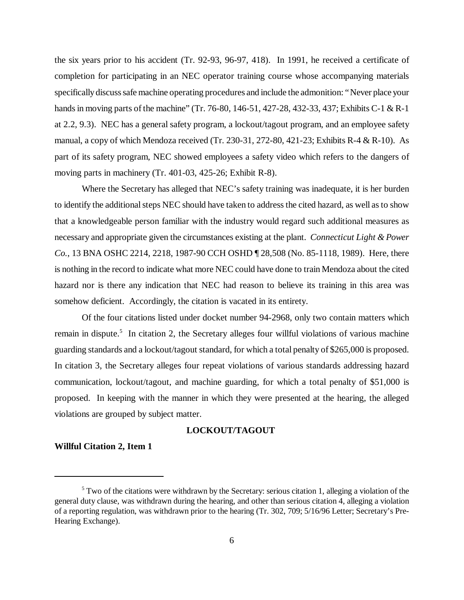the six years prior to his accident (Tr. 92-93, 96-97, 418). In 1991, he received a certificate of completion for participating in an NEC operator training course whose accompanying materials specifically discuss safe machine operating procedures and include the admonition: "Never place your hands in moving parts of the machine" (Tr. 76-80, 146-51, 427-28, 432-33, 437; Exhibits C-1 & R-1 at 2.2, 9.3). NEC has a general safety program, a lockout/tagout program, and an employee safety manual, a copy of which Mendoza received (Tr. 230-31, 272-80, 421-23; Exhibits R-4 & R-10). As part of its safety program, NEC showed employees a safety video which refers to the dangers of moving parts in machinery (Tr. 401-03, 425-26; Exhibit R-8).

Where the Secretary has alleged that NEC's safety training was inadequate, it is her burden to identify the additional steps NEC should have taken to address the cited hazard, as well as to show that a knowledgeable person familiar with the industry would regard such additional measures as necessary and appropriate given the circumstances existing at the plant. *Connecticut Light & Power Co.*, 13 BNA OSHC 2214, 2218, 1987-90 CCH OSHD ¶ 28,508 (No. 85-1118, 1989). Here, there is nothing in the record to indicate what more NEC could have done to train Mendoza about the cited hazard nor is there any indication that NEC had reason to believe its training in this area was somehow deficient. Accordingly, the citation is vacated in its entirety.

Of the four citations listed under docket number 94-2968, only two contain matters which remain in dispute.<sup>5</sup> In citation 2, the Secretary alleges four willful violations of various machine guarding standards and a lockout/tagout standard, for which a total penalty of \$265,000 is proposed. In citation 3, the Secretary alleges four repeat violations of various standards addressing hazard communication, lockout/tagout, and machine guarding, for which a total penalty of \$51,000 is proposed. In keeping with the manner in which they were presented at the hearing, the alleged violations are grouped by subject matter.

# **LOCKOUT/TAGOUT**

# **Willful Citation 2, Item 1**

<sup>&</sup>lt;sup>5</sup> Two of the citations were withdrawn by the Secretary: serious citation 1, alleging a violation of the general duty clause, was withdrawn during the hearing, and other than serious citation 4, alleging a violation of a reporting regulation, was withdrawn prior to the hearing (Tr. 302, 709; 5/16/96 Letter; Secretary's Pre-Hearing Exchange).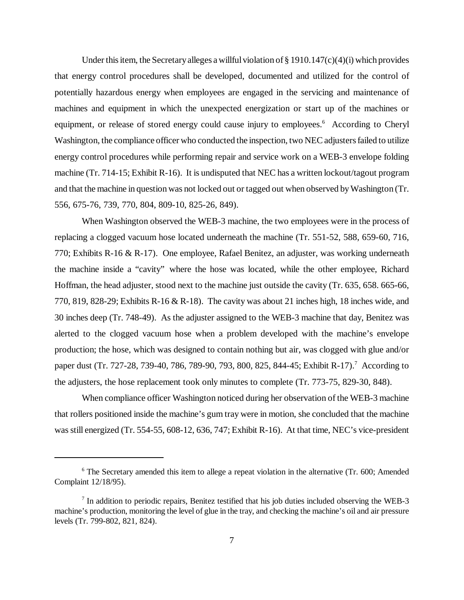Under this item, the Secretary alleges a willful violation of  $\S 1910.147(c)(4)(i)$  which provides that energy control procedures shall be developed, documented and utilized for the control of potentially hazardous energy when employees are engaged in the servicing and maintenance of machines and equipment in which the unexpected energization or start up of the machines or equipment, or release of stored energy could cause injury to employees.<sup>6</sup> According to Cheryl Washington, the compliance officer who conducted the inspection, two NEC adjusters failed to utilize energy control procedures while performing repair and service work on a WEB-3 envelope folding machine (Tr. 714-15; Exhibit R-16). It is undisputed that NEC has a written lockout/tagout program and that the machine in question was not locked out or tagged out when observed by Washington (Tr. 556, 675-76, 739, 770, 804, 809-10, 825-26, 849).

When Washington observed the WEB-3 machine, the two employees were in the process of replacing a clogged vacuum hose located underneath the machine (Tr. 551-52, 588, 659-60, 716, 770; Exhibits R-16 & R-17). One employee, Rafael Benitez, an adjuster, was working underneath the machine inside a "cavity" where the hose was located, while the other employee, Richard Hoffman, the head adjuster, stood next to the machine just outside the cavity (Tr. 635, 658. 665-66, 770, 819, 828-29; Exhibits R-16 & R-18). The cavity was about 21 inches high, 18 inches wide, and 30 inches deep (Tr. 748-49). As the adjuster assigned to the WEB-3 machine that day, Benitez was alerted to the clogged vacuum hose when a problem developed with the machine's envelope production; the hose, which was designed to contain nothing but air, was clogged with glue and/or paper dust (Tr. 727-28, 739-40, 786, 789-90, 793, 800, 825, 844-45; Exhibit R-17).<sup>7</sup> According to the adjusters, the hose replacement took only minutes to complete (Tr. 773-75, 829-30, 848).

When compliance officer Washington noticed during her observation of the WEB-3 machine that rollers positioned inside the machine's gum tray were in motion, she concluded that the machine was still energized (Tr. 554-55, 608-12, 636, 747; Exhibit R-16). At that time, NEC's vice-president

<sup>&</sup>lt;sup>6</sup> The Secretary amended this item to allege a repeat violation in the alternative (Tr. 600; Amended Complaint 12/18/95).

<sup>&</sup>lt;sup>7</sup> In addition to periodic repairs, Benitez testified that his job duties included observing the WEB-3 machine's production, monitoring the level of glue in the tray, and checking the machine's oil and air pressure levels (Tr. 799-802, 821, 824).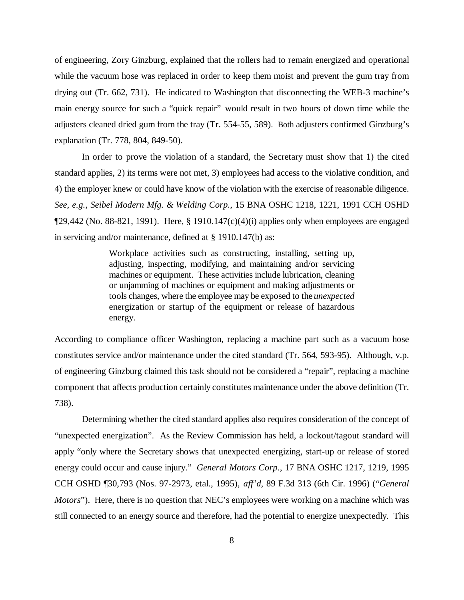of engineering, Zory Ginzburg, explained that the rollers had to remain energized and operational while the vacuum hose was replaced in order to keep them moist and prevent the gum tray from drying out (Tr. 662, 731). He indicated to Washington that disconnecting the WEB-3 machine's main energy source for such a "quick repair" would result in two hours of down time while the adjusters cleaned dried gum from the tray (Tr. 554-55, 589). Both adjusters confirmed Ginzburg's explanation (Tr. 778, 804, 849-50).

In order to prove the violation of a standard, the Secretary must show that 1) the cited standard applies, 2) its terms were not met, 3) employees had access to the violative condition, and 4) the employer knew or could have know of the violation with the exercise of reasonable diligence. *See, e.g., Seibel Modern Mfg. & Welding Corp.*, 15 BNA OSHC 1218, 1221, 1991 CCH OSHD  $\P$ 29,442 (No. 88-821, 1991). Here, § 1910.147(c)(4)(i) applies only when employees are engaged in servicing and/or maintenance, defined at § 1910.147(b) as:

> Workplace activities such as constructing, installing, setting up, adjusting, inspecting, modifying, and maintaining and/or servicing machines or equipment. These activities include lubrication, cleaning or unjamming of machines or equipment and making adjustments or tools changes, where the employee may be exposed to the *unexpected* energization or startup of the equipment or release of hazardous energy.

According to compliance officer Washington, replacing a machine part such as a vacuum hose constitutes service and/or maintenance under the cited standard (Tr. 564, 593-95). Although, v.p. of engineering Ginzburg claimed this task should not be considered a "repair", replacing a machine component that affects production certainly constitutes maintenance under the above definition (Tr. 738).

Determining whether the cited standard applies also requires consideration of the concept of "unexpected energization". As the Review Commission has held, a lockout/tagout standard will apply "only where the Secretary shows that unexpected energizing, start-up or release of stored energy could occur and cause injury." *General Motors Corp.*, 17 BNA OSHC 1217, 1219, 1995 CCH OSHD ¶30,793 (Nos. 97-2973, etal., 1995), *aff'd*, 89 F.3d 313 (6th Cir. 1996) ("*General Motors*"). Here, there is no question that NEC's employees were working on a machine which was still connected to an energy source and therefore, had the potential to energize unexpectedly. This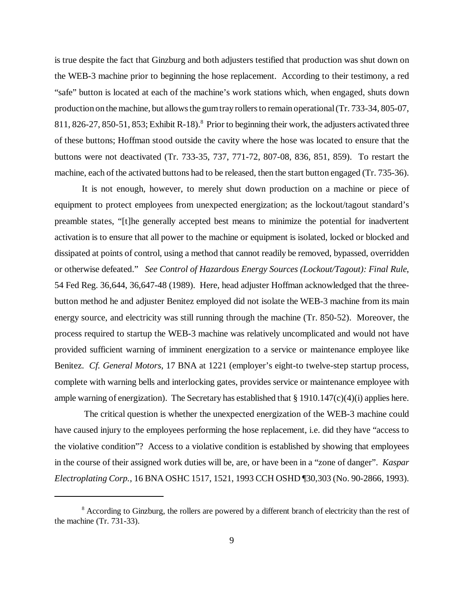is true despite the fact that Ginzburg and both adjusters testified that production was shut down on the WEB-3 machine prior to beginning the hose replacement. According to their testimony, a red "safe" button is located at each of the machine's work stations which, when engaged, shuts down production on the machine, but allows the gum tray rollers to remain operational (Tr. 733-34, 805-07, 811, 826-27, 850-51, 853; Exhibit R-18).<sup>8</sup> Prior to beginning their work, the adjusters activated three of these buttons; Hoffman stood outside the cavity where the hose was located to ensure that the buttons were not deactivated (Tr. 733-35, 737, 771-72, 807-08, 836, 851, 859). To restart the machine, each of the activated buttons had to be released, then the start button engaged (Tr. 735-36).

It is not enough, however, to merely shut down production on a machine or piece of equipment to protect employees from unexpected energization; as the lockout/tagout standard's preamble states, "[t]he generally accepted best means to minimize the potential for inadvertent activation is to ensure that all power to the machine or equipment is isolated, locked or blocked and dissipated at points of control, using a method that cannot readily be removed, bypassed, overridden or otherwise defeated." *See Control of Hazardous Energy Sources (Lockout/Tagout): Final Rule*, 54 Fed Reg. 36,644, 36,647-48 (1989). Here, head adjuster Hoffman acknowledged that the threebutton method he and adjuster Benitez employed did not isolate the WEB-3 machine from its main energy source, and electricity was still running through the machine (Tr. 850-52). Moreover, the process required to startup the WEB-3 machine was relatively uncomplicated and would not have provided sufficient warning of imminent energization to a service or maintenance employee like Benitez. *Cf. General Motors*, 17 BNA at 1221 (employer's eight-to twelve-step startup process, complete with warning bells and interlocking gates, provides service or maintenance employee with ample warning of energization). The Secretary has established that  $\S 1910.147(c)(4)(i)$  applies here.

 The critical question is whether the unexpected energization of the WEB-3 machine could have caused injury to the employees performing the hose replacement, i.e. did they have "access to the violative condition"? Access to a violative condition is established by showing that employees in the course of their assigned work duties will be, are, or have been in a "zone of danger". *Kaspar Electroplating Corp.*, 16 BNA OSHC 1517, 1521, 1993 CCH OSHD ¶30,303 (No. 90-2866, 1993).

<sup>&</sup>lt;sup>8</sup> According to Ginzburg, the rollers are powered by a different branch of electricity than the rest of the machine (Tr. 731-33).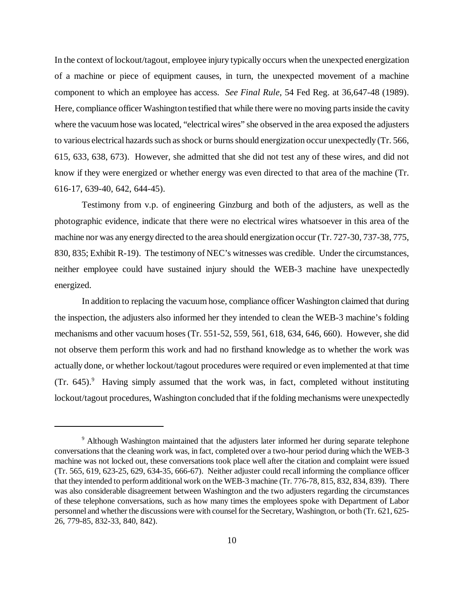In the context of lockout/tagout, employee injury typically occurs when the unexpected energization of a machine or piece of equipment causes, in turn, the unexpected movement of a machine component to which an employee has access. *See Final Rule*, 54 Fed Reg. at 36,647-48 (1989). Here, compliance officer Washington testified that while there were no moving parts inside the cavity where the vacuum hose was located, "electrical wires" she observed in the area exposed the adjusters to various electrical hazards such as shock or burns should energization occur unexpectedly (Tr. 566, 615, 633, 638, 673). However, she admitted that she did not test any of these wires, and did not know if they were energized or whether energy was even directed to that area of the machine (Tr. 616-17, 639-40, 642, 644-45).

Testimony from v.p. of engineering Ginzburg and both of the adjusters, as well as the photographic evidence, indicate that there were no electrical wires whatsoever in this area of the machine nor was any energy directed to the area should energization occur (Tr. 727-30, 737-38, 775, 830, 835; Exhibit R-19). The testimony of NEC's witnesses was credible. Under the circumstances, neither employee could have sustained injury should the WEB-3 machine have unexpectedly energized.

In addition to replacing the vacuum hose, compliance officer Washington claimed that during the inspection, the adjusters also informed her they intended to clean the WEB-3 machine's folding mechanisms and other vacuum hoses (Tr. 551-52, 559, 561, 618, 634, 646, 660). However, she did not observe them perform this work and had no firsthand knowledge as to whether the work was actually done, or whether lockout/tagout procedures were required or even implemented at that time (Tr. 645).<sup>9</sup> Having simply assumed that the work was, in fact, completed without instituting lockout/tagout procedures, Washington concluded that if the folding mechanisms were unexpectedly

<sup>&</sup>lt;sup>9</sup> Although Washington maintained that the adjusters later informed her during separate telephone conversations that the cleaning work was, in fact, completed over a two-hour period during which the WEB-3 machine was not locked out, these conversations took place well after the citation and complaint were issued (Tr. 565, 619, 623-25, 629, 634-35, 666-67). Neither adjuster could recall informing the compliance officer that they intended to perform additional work on the WEB-3 machine (Tr. 776-78, 815, 832, 834, 839). There was also considerable disagreement between Washington and the two adjusters regarding the circumstances of these telephone conversations, such as how many times the employees spoke with Department of Labor personnel and whether the discussions were with counsel for the Secretary, Washington, or both (Tr. 621, 625- 26, 779-85, 832-33, 840, 842).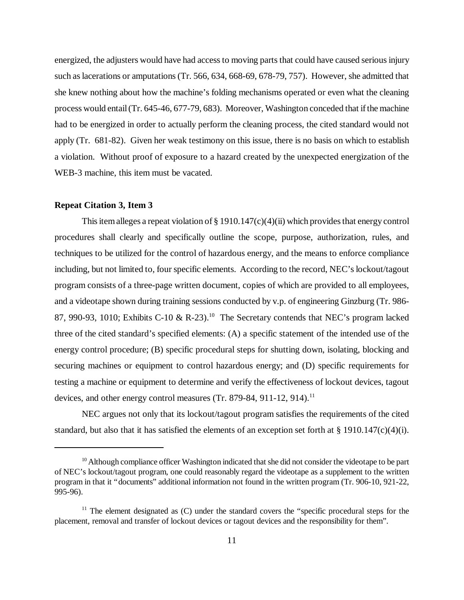energized, the adjusters would have had access to moving parts that could have caused serious injury such as lacerations or amputations (Tr. 566, 634, 668-69, 678-79, 757). However, she admitted that she knew nothing about how the machine's folding mechanisms operated or even what the cleaning process would entail (Tr. 645-46, 677-79, 683). Moreover, Washington conceded that if the machine had to be energized in order to actually perform the cleaning process, the cited standard would not apply (Tr. 681-82). Given her weak testimony on this issue, there is no basis on which to establish a violation. Without proof of exposure to a hazard created by the unexpected energization of the WEB-3 machine, this item must be vacated.

#### **Repeat Citation 3, Item 3**

This item alleges a repeat violation of § 1910.147(c)(4)(ii) which provides that energy control procedures shall clearly and specifically outline the scope, purpose, authorization, rules, and techniques to be utilized for the control of hazardous energy, and the means to enforce compliance including, but not limited to, four specific elements. According to the record, NEC's lockout/tagout program consists of a three-page written document, copies of which are provided to all employees, and a videotape shown during training sessions conducted by v.p. of engineering Ginzburg (Tr. 986- 87, 990-93, 1010; Exhibits C-10 & R-23).<sup>10</sup> The Secretary contends that NEC's program lacked three of the cited standard's specified elements: (A) a specific statement of the intended use of the energy control procedure; (B) specific procedural steps for shutting down, isolating, blocking and securing machines or equipment to control hazardous energy; and (D) specific requirements for testing a machine or equipment to determine and verify the effectiveness of lockout devices, tagout devices, and other energy control measures (Tr. 879-84, 911-12, 914).<sup>11</sup>

NEC argues not only that its lockout/tagout program satisfies the requirements of the cited standard, but also that it has satisfied the elements of an exception set forth at § 1910.147(c)(4)(i).

<sup>&</sup>lt;sup>10</sup> Although compliance officer Washington indicated that she did not consider the videotape to be part of NEC's lockout/tagout program, one could reasonably regard the videotape as a supplement to the written program in that it "documents" additional information not found in the written program (Tr. 906-10, 921-22, 995-96).

 $11$  The element designated as (C) under the standard covers the "specific procedural steps for the placement, removal and transfer of lockout devices or tagout devices and the responsibility for them".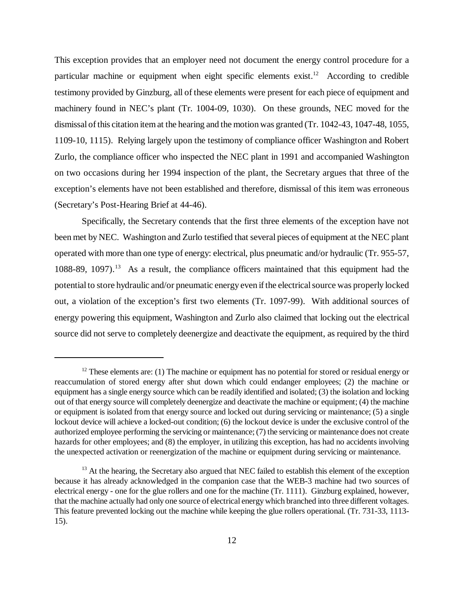This exception provides that an employer need not document the energy control procedure for a particular machine or equipment when eight specific elements  $exist.^{12}$ . According to credible testimony provided by Ginzburg, all of these elements were present for each piece of equipment and machinery found in NEC's plant (Tr. 1004-09, 1030). On these grounds, NEC moved for the dismissal of this citation item at the hearing and the motion was granted (Tr. 1042-43, 1047-48, 1055, 1109-10, 1115). Relying largely upon the testimony of compliance officer Washington and Robert Zurlo, the compliance officer who inspected the NEC plant in 1991 and accompanied Washington on two occasions during her 1994 inspection of the plant, the Secretary argues that three of the exception's elements have not been established and therefore, dismissal of this item was erroneous (Secretary's Post-Hearing Brief at 44-46).

Specifically, the Secretary contends that the first three elements of the exception have not been met by NEC. Washington and Zurlo testified that several pieces of equipment at the NEC plant operated with more than one type of energy: electrical, plus pneumatic and/or hydraulic (Tr. 955-57, 1088-89, 1097).<sup>13</sup> As a result, the compliance officers maintained that this equipment had the potential to store hydraulic and/or pneumatic energy even if the electrical source was properly locked out, a violation of the exception's first two elements (Tr. 1097-99). With additional sources of energy powering this equipment, Washington and Zurlo also claimed that locking out the electrical source did not serve to completely deenergize and deactivate the equipment, as required by the third

 $12$  These elements are: (1) The machine or equipment has no potential for stored or residual energy or reaccumulation of stored energy after shut down which could endanger employees; (2) the machine or equipment has a single energy source which can be readily identified and isolated; (3) the isolation and locking out of that energy source will completely deenergize and deactivate the machine or equipment; (4) the machine or equipment is isolated from that energy source and locked out during servicing or maintenance; (5) a single lockout device will achieve a locked-out condition; (6) the lockout device is under the exclusive control of the authorized employee performing the servicing or maintenance; (7) the servicing or maintenance does not create hazards for other employees; and (8) the employer, in utilizing this exception, has had no accidents involving the unexpected activation or reenergization of the machine or equipment during servicing or maintenance.

<sup>&</sup>lt;sup>13</sup> At the hearing, the Secretary also argued that NEC failed to establish this element of the exception because it has already acknowledged in the companion case that the WEB-3 machine had two sources of electrical energy - one for the glue rollers and one for the machine (Tr. 1111). Ginzburg explained, however, that the machine actually had only one source of electrical energy which branched into three different voltages. This feature prevented locking out the machine while keeping the glue rollers operational. (Tr. 731-33, 1113- 15).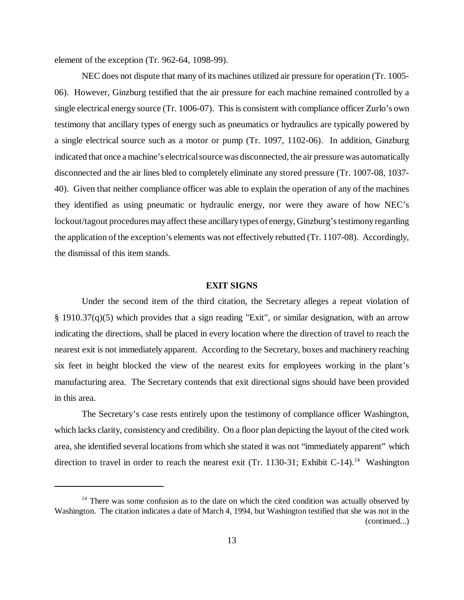element of the exception (Tr. 962-64, 1098-99).

NEC does not dispute that many of its machines utilized air pressure for operation (Tr. 1005- 06). However, Ginzburg testified that the air pressure for each machine remained controlled by a single electrical energy source (Tr. 1006-07). This is consistent with compliance officer Zurlo's own testimony that ancillary types of energy such as pneumatics or hydraulics are typically powered by a single electrical source such as a motor or pump (Tr. 1097, 1102-06). In addition, Ginzburg indicated that once a machine's electrical source was disconnected, the air pressure was automatically disconnected and the air lines bled to completely eliminate any stored pressure (Tr. 1007-08, 1037- 40). Given that neither compliance officer was able to explain the operation of any of the machines they identified as using pneumatic or hydraulic energy, nor were they aware of how NEC's lockout/tagout procedures may affect these ancillary types of energy, Ginzburg's testimony regarding the application of the exception's elements was not effectively rebutted (Tr. 1107-08). Accordingly, the dismissal of this item stands.

#### **EXIT SIGNS**

Under the second item of the third citation, the Secretary alleges a repeat violation of § 1910.37(q)(5) which provides that a sign reading "Exit", or similar designation, with an arrow indicating the directions, shall be placed in every location where the direction of travel to reach the nearest exit is not immediately apparent. According to the Secretary, boxes and machinery reaching six feet in height blocked the view of the nearest exits for employees working in the plant's manufacturing area. The Secretary contends that exit directional signs should have been provided in this area.

The Secretary's case rests entirely upon the testimony of compliance officer Washington, which lacks clarity, consistency and credibility. On a floor plan depicting the layout of the cited work area, she identified several locations from which she stated it was not "immediately apparent" which direction to travel in order to reach the nearest exit (Tr. 1130-31; Exhibit C-14).<sup>14</sup> Washington

 $14$  There was some confusion as to the date on which the cited condition was actually observed by Washington. The citation indicates a date of March 4, 1994, but Washington testified that she was not in the (continued...)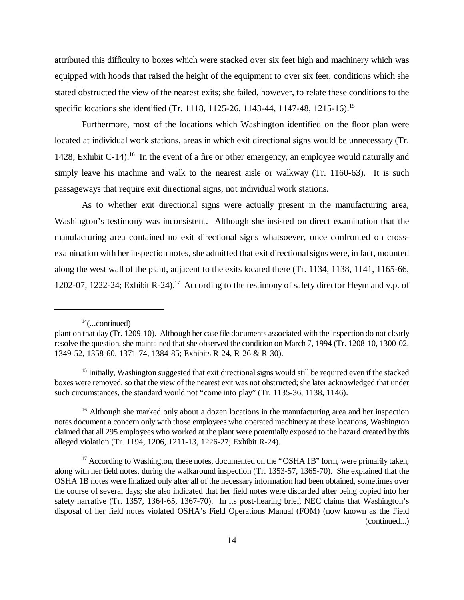attributed this difficulty to boxes which were stacked over six feet high and machinery which was equipped with hoods that raised the height of the equipment to over six feet, conditions which she stated obstructed the view of the nearest exits; she failed, however, to relate these conditions to the specific locations she identified (Tr. 1118, 1125-26, 1143-44, 1147-48, 1215-16).<sup>15</sup>

Furthermore, most of the locations which Washington identified on the floor plan were located at individual work stations, areas in which exit directional signs would be unnecessary (Tr. 1428; Exhibit C-14).<sup>16</sup> In the event of a fire or other emergency, an employee would naturally and simply leave his machine and walk to the nearest aisle or walkway (Tr. 1160-63). It is such passageways that require exit directional signs, not individual work stations.

As to whether exit directional signs were actually present in the manufacturing area, Washington's testimony was inconsistent. Although she insisted on direct examination that the manufacturing area contained no exit directional signs whatsoever, once confronted on crossexamination with her inspection notes, she admitted that exit directional signs were, in fact, mounted along the west wall of the plant, adjacent to the exits located there (Tr. 1134, 1138, 1141, 1165-66, 1202-07, 1222-24; Exhibit R-24).17 According to the testimony of safety director Heym and v.p. of

 $14$ (...continued)

plant on that day (Tr. 1209-10). Although her case file documents associated with the inspection do not clearly resolve the question, she maintained that she observed the condition on March 7, 1994 (Tr. 1208-10, 1300-02, 1349-52, 1358-60, 1371-74, 1384-85; Exhibits R-24, R-26 & R-30).

<sup>&</sup>lt;sup>15</sup> Initially, Washington suggested that exit directional signs would still be required even if the stacked boxes were removed, so that the view of the nearest exit was not obstructed; she later acknowledged that under such circumstances, the standard would not "come into play" (Tr. 1135-36, 1138, 1146).

<sup>&</sup>lt;sup>16</sup> Although she marked only about a dozen locations in the manufacturing area and her inspection notes document a concern only with those employees who operated machinery at these locations, Washington claimed that all 295 employees who worked at the plant were potentially exposed to the hazard created by this alleged violation (Tr. 1194, 1206, 1211-13, 1226-27; Exhibit R-24).

<sup>&</sup>lt;sup>17</sup> According to Washington, these notes, documented on the "OSHA 1B" form, were primarily taken, along with her field notes, during the walkaround inspection (Tr. 1353-57, 1365-70). She explained that the OSHA 1B notes were finalized only after all of the necessary information had been obtained, sometimes over the course of several days; she also indicated that her field notes were discarded after being copied into her safety narrative (Tr. 1357, 1364-65, 1367-70). In its post-hearing brief, NEC claims that Washington's disposal of her field notes violated OSHA's Field Operations Manual (FOM) (now known as the Field (continued...)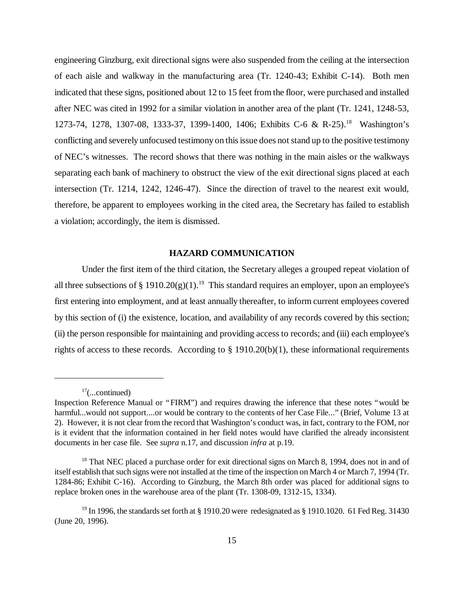engineering Ginzburg, exit directional signs were also suspended from the ceiling at the intersection of each aisle and walkway in the manufacturing area (Tr. 1240-43; Exhibit C-14). Both men indicated that these signs, positioned about 12 to 15 feet from the floor, were purchased and installed after NEC was cited in 1992 for a similar violation in another area of the plant (Tr. 1241, 1248-53, 1273-74, 1278, 1307-08, 1333-37, 1399-1400, 1406; Exhibits C-6 & R-25).<sup>18</sup> Washington's conflicting and severely unfocused testimony on this issue does not stand up to the positive testimony of NEC's witnesses. The record shows that there was nothing in the main aisles or the walkways separating each bank of machinery to obstruct the view of the exit directional signs placed at each intersection (Tr. 1214, 1242, 1246-47). Since the direction of travel to the nearest exit would, therefore, be apparent to employees working in the cited area, the Secretary has failed to establish a violation; accordingly, the item is dismissed.

# **HAZARD COMMUNICATION**

Under the first item of the third citation, the Secretary alleges a grouped repeat violation of all three subsections of § 1910.20(g)(1).<sup>19</sup> This standard requires an employer, upon an employee's first entering into employment, and at least annually thereafter, to inform current employees covered by this section of (i) the existence, location, and availability of any records covered by this section; (ii) the person responsible for maintaining and providing access to records; and (iii) each employee's rights of access to these records. According to § 1910.20(b)(1), these informational requirements

 $17$ (...continued)

Inspection Reference Manual or "FIRM") and requires drawing the inference that these notes "would be harmful...would not support....or would be contrary to the contents of her Case File..." (Brief, Volume 13 at 2). However, it is not clear from the record that Washington's conduct was, in fact, contrary to the FOM, nor is it evident that the information contained in her field notes would have clarified the already inconsistent documents in her case file.See *supra* n.17, and discussion *infra* at p.19.

<sup>&</sup>lt;sup>18</sup> That NEC placed a purchase order for exit directional signs on March 8, 1994, does not in and of itself establish that such signs were not installed at the time of the inspection on March 4 or March 7, 1994 (Tr. 1284-86; Exhibit C-16). According to Ginzburg, the March 8th order was placed for additional signs to replace broken ones in the warehouse area of the plant (Tr. 1308-09, 1312-15, 1334).

<sup>&</sup>lt;sup>19</sup> In 1996, the standards set forth at § 1910.20 were redesignated as § 1910.1020. 61 Fed Reg. 31430 (June 20, 1996).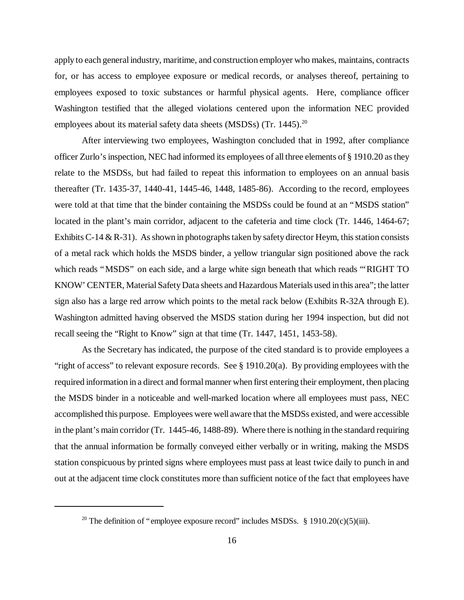apply to each general industry, maritime, and construction employer who makes, maintains, contracts for, or has access to employee exposure or medical records, or analyses thereof, pertaining to employees exposed to toxic substances or harmful physical agents. Here, compliance officer Washington testified that the alleged violations centered upon the information NEC provided employees about its material safety data sheets (MSDSs) (Tr. 1445).<sup>20</sup>

After interviewing two employees, Washington concluded that in 1992, after compliance officer Zurlo's inspection, NEC had informed its employees of all three elements of § 1910.20 as they relate to the MSDSs, but had failed to repeat this information to employees on an annual basis thereafter (Tr. 1435-37, 1440-41, 1445-46, 1448, 1485-86). According to the record, employees were told at that time that the binder containing the MSDSs could be found at an "MSDS station" located in the plant's main corridor, adjacent to the cafeteria and time clock (Tr. 1446, 1464-67; Exhibits C-14 & R-31). As shown in photographs taken by safety director Heym, this station consists of a metal rack which holds the MSDS binder, a yellow triangular sign positioned above the rack which reads "MSDS" on each side, and a large white sign beneath that which reads "'RIGHT TO KNOW' CENTER, Material Safety Data sheets and Hazardous Materials used in this area"; the latter sign also has a large red arrow which points to the metal rack below (Exhibits R-32A through E). Washington admitted having observed the MSDS station during her 1994 inspection, but did not recall seeing the "Right to Know" sign at that time (Tr. 1447, 1451, 1453-58).

As the Secretary has indicated, the purpose of the cited standard is to provide employees a "right of access" to relevant exposure records. See § 1910.20(a). By providing employees with the required information in a direct and formal manner when first entering their employment, then placing the MSDS binder in a noticeable and well-marked location where all employees must pass, NEC accomplished this purpose. Employees were well aware that the MSDSs existed, and were accessible in the plant's main corridor (Tr. 1445-46, 1488-89). Where there is nothing in the standard requiring that the annual information be formally conveyed either verbally or in writing, making the MSDS station conspicuous by printed signs where employees must pass at least twice daily to punch in and out at the adjacent time clock constitutes more than sufficient notice of the fact that employees have

<sup>&</sup>lt;sup>20</sup> The definition of "employee exposure record" includes MSDSs. § 1910.20(c)(5)(iii).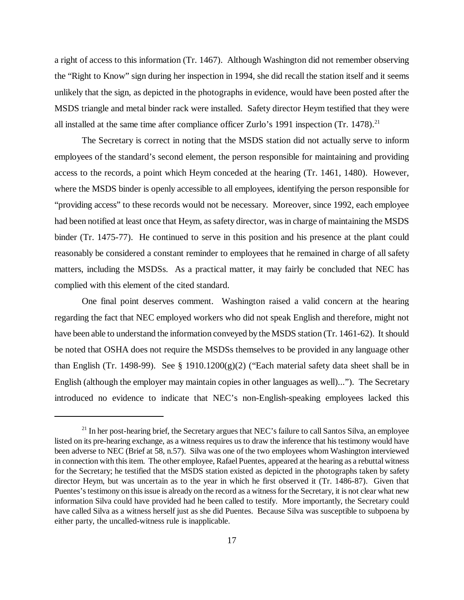a right of access to this information (Tr. 1467). Although Washington did not remember observing the "Right to Know" sign during her inspection in 1994, she did recall the station itself and it seems unlikely that the sign, as depicted in the photographs in evidence, would have been posted after the MSDS triangle and metal binder rack were installed. Safety director Heym testified that they were all installed at the same time after compliance officer Zurlo's 1991 inspection (Tr. 1478).<sup>21</sup>

The Secretary is correct in noting that the MSDS station did not actually serve to inform employees of the standard's second element, the person responsible for maintaining and providing access to the records, a point which Heym conceded at the hearing (Tr. 1461, 1480). However, where the MSDS binder is openly accessible to all employees, identifying the person responsible for "providing access" to these records would not be necessary. Moreover, since 1992, each employee had been notified at least once that Heym, as safety director, was in charge of maintaining the MSDS binder (Tr. 1475-77). He continued to serve in this position and his presence at the plant could reasonably be considered a constant reminder to employees that he remained in charge of all safety matters, including the MSDSs. As a practical matter, it may fairly be concluded that NEC has complied with this element of the cited standard.

One final point deserves comment. Washington raised a valid concern at the hearing regarding the fact that NEC employed workers who did not speak English and therefore, might not have been able to understand the information conveyed by the MSDS station (Tr. 1461-62). It should be noted that OSHA does not require the MSDSs themselves to be provided in any language other than English (Tr. 1498-99). See § 1910.1200 $(g)(2)$  ("Each material safety data sheet shall be in English (although the employer may maintain copies in other languages as well)..."). The Secretary introduced no evidence to indicate that NEC's non-English-speaking employees lacked this

<sup>&</sup>lt;sup>21</sup> In her post-hearing brief, the Secretary argues that NEC's failure to call Santos Silva, an employee listed on its pre-hearing exchange, as a witness requires us to draw the inference that his testimony would have been adverse to NEC (Brief at 58, n.57). Silva was one of the two employees whom Washington interviewed in connection with this item. The other employee, Rafael Puentes, appeared at the hearing as a rebuttal witness for the Secretary; he testified that the MSDS station existed as depicted in the photographs taken by safety director Heym, but was uncertain as to the year in which he first observed it (Tr. 1486-87). Given that Puentes's testimony on this issue is already on the record as a witness for the Secretary, it is not clear what new information Silva could have provided had he been called to testify. More importantly, the Secretary could have called Silva as a witness herself just as she did Puentes. Because Silva was susceptible to subpoena by either party, the uncalled-witness rule is inapplicable.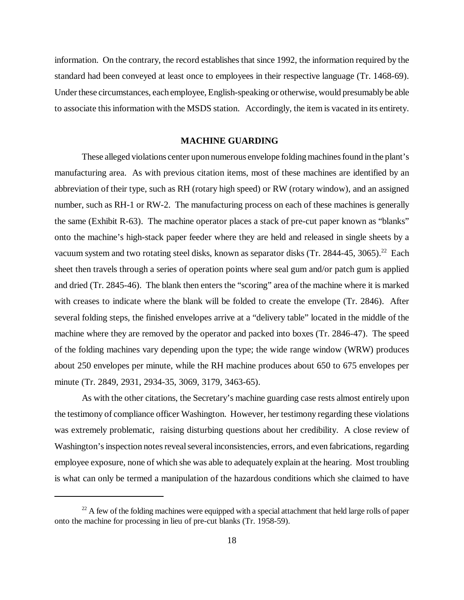information. On the contrary, the record establishes that since 1992, the information required by the standard had been conveyed at least once to employees in their respective language (Tr. 1468-69). Under these circumstances, each employee, English-speaking or otherwise, would presumably be able to associate this information with the MSDS station. Accordingly, the item is vacated in its entirety.

# **MACHINE GUARDING**

These alleged violations center upon numerous envelope folding machines found in the plant's manufacturing area. As with previous citation items, most of these machines are identified by an abbreviation of their type, such as RH (rotary high speed) or RW (rotary window), and an assigned number, such as RH-1 or RW-2. The manufacturing process on each of these machines is generally the same (Exhibit R-63). The machine operator places a stack of pre-cut paper known as "blanks" onto the machine's high-stack paper feeder where they are held and released in single sheets by a vacuum system and two rotating steel disks, known as separator disks (Tr. 2844-45, 3065).<sup>22</sup> Each sheet then travels through a series of operation points where seal gum and/or patch gum is applied and dried (Tr. 2845-46). The blank then enters the "scoring" area of the machine where it is marked with creases to indicate where the blank will be folded to create the envelope (Tr. 2846). After several folding steps, the finished envelopes arrive at a "delivery table" located in the middle of the machine where they are removed by the operator and packed into boxes (Tr. 2846-47). The speed of the folding machines vary depending upon the type; the wide range window (WRW) produces about 250 envelopes per minute, while the RH machine produces about 650 to 675 envelopes per minute (Tr. 2849, 2931, 2934-35, 3069, 3179, 3463-65).

As with the other citations, the Secretary's machine guarding case rests almost entirely upon the testimony of compliance officer Washington. However, her testimony regarding these violations was extremely problematic, raising disturbing questions about her credibility. A close review of Washington's inspection notes reveal several inconsistencies, errors, and even fabrications, regarding employee exposure, none of which she was able to adequately explain at the hearing. Most troubling is what can only be termed a manipulation of the hazardous conditions which she claimed to have

 $^{22}$  A few of the folding machines were equipped with a special attachment that held large rolls of paper onto the machine for processing in lieu of pre-cut blanks (Tr. 1958-59).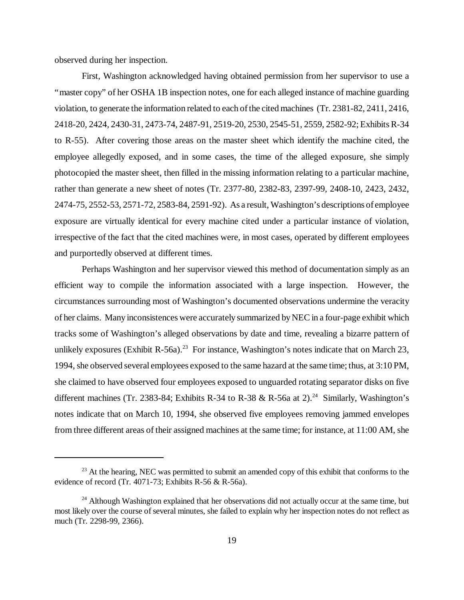observed during her inspection.

First, Washington acknowledged having obtained permission from her supervisor to use a "master copy" of her OSHA 1B inspection notes, one for each alleged instance of machine guarding violation, to generate the information related to each of the cited machines (Tr. 2381-82, 2411, 2416, 2418-20, 2424, 2430-31, 2473-74, 2487-91, 2519-20, 2530, 2545-51, 2559, 2582-92; Exhibits R-34 to R-55). After covering those areas on the master sheet which identify the machine cited, the employee allegedly exposed, and in some cases, the time of the alleged exposure, she simply photocopied the master sheet, then filled in the missing information relating to a particular machine, rather than generate a new sheet of notes (Tr. 2377-80, 2382-83, 2397-99, 2408-10, 2423, 2432, 2474-75, 2552-53, 2571-72, 2583-84, 2591-92). As a result, Washington's descriptions of employee exposure are virtually identical for every machine cited under a particular instance of violation, irrespective of the fact that the cited machines were, in most cases, operated by different employees and purportedly observed at different times.

Perhaps Washington and her supervisor viewed this method of documentation simply as an efficient way to compile the information associated with a large inspection. However, the circumstances surrounding most of Washington's documented observations undermine the veracity of her claims. Many inconsistences were accurately summarized by NEC in a four-page exhibit which tracks some of Washington's alleged observations by date and time, revealing a bizarre pattern of unlikely exposures (Exhibit R-56a).<sup>23</sup> For instance, Washington's notes indicate that on March 23, 1994, she observed several employees exposed to the same hazard at the same time; thus, at 3:10 PM, she claimed to have observed four employees exposed to unguarded rotating separator disks on five different machines (Tr. 2383-84; Exhibits R-34 to R-38 & R-56a at 2).<sup>24</sup> Similarly, Washington's notes indicate that on March 10, 1994, she observed five employees removing jammed envelopes from three different areas of their assigned machines at the same time; for instance, at 11:00 AM, she

<sup>&</sup>lt;sup>23</sup> At the hearing, NEC was permitted to submit an amended copy of this exhibit that conforms to the evidence of record (Tr. 4071-73; Exhibits R-56 & R-56a).

 $24$  Although Washington explained that her observations did not actually occur at the same time, but most likely over the course of several minutes, she failed to explain why her inspection notes do not reflect as much (Tr. 2298-99, 2366).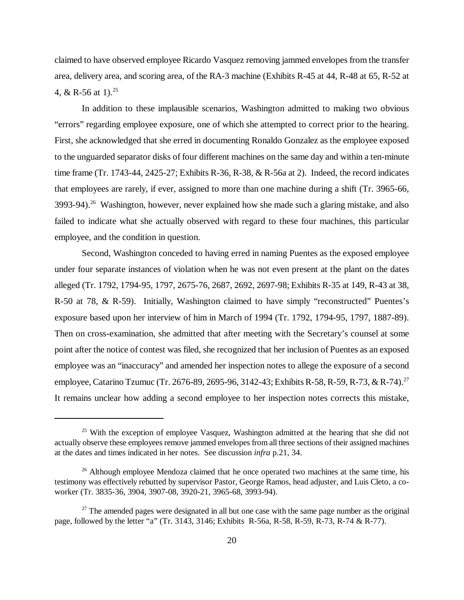claimed to have observed employee Ricardo Vasquez removing jammed envelopes from the transfer area, delivery area, and scoring area, of the RA-3 machine (Exhibits R-45 at 44, R-48 at 65, R-52 at 4, & R-56 at 1).<sup>25</sup>

In addition to these implausible scenarios, Washington admitted to making two obvious "errors" regarding employee exposure, one of which she attempted to correct prior to the hearing. First, she acknowledged that she erred in documenting Ronaldo Gonzalez as the employee exposed to the unguarded separator disks of four different machines on the same day and within a ten-minute time frame (Tr. 1743-44, 2425-27; Exhibits R-36, R-38, & R-56a at 2). Indeed, the record indicates that employees are rarely, if ever, assigned to more than one machine during a shift (Tr. 3965-66,  $3993-94$ <sup>26</sup> Washington, however, never explained how she made such a glaring mistake, and also failed to indicate what she actually observed with regard to these four machines, this particular employee, and the condition in question.

Second, Washington conceded to having erred in naming Puentes as the exposed employee under four separate instances of violation when he was not even present at the plant on the dates alleged (Tr. 1792, 1794-95, 1797, 2675-76, 2687, 2692, 2697-98; Exhibits R-35 at 149, R-43 at 38, R-50 at 78, & R-59). Initially, Washington claimed to have simply "reconstructed" Puentes's exposure based upon her interview of him in March of 1994 (Tr. 1792, 1794-95, 1797, 1887-89). Then on cross-examination, she admitted that after meeting with the Secretary's counsel at some point after the notice of contest was filed, she recognized that her inclusion of Puentes as an exposed employee was an "inaccuracy" and amended her inspection notes to allege the exposure of a second employee, Catarino Tzumuc (Tr. 2676-89, 2695-96, 3142-43; Exhibits R-58, R-59, R-73, & R-74).<sup>27</sup> It remains unclear how adding a second employee to her inspection notes corrects this mistake,

 $25$  With the exception of employee Vasquez, Washington admitted at the hearing that she did not actually observe these employees remove jammed envelopes from all three sections of their assigned machines at the dates and times indicated in her notes. See discussion *infra* p.21, 34.

<sup>&</sup>lt;sup>26</sup> Although employee Mendoza claimed that he once operated two machines at the same time, his testimony was effectively rebutted by supervisor Pastor, George Ramos, head adjuster, and Luis Cleto, a coworker (Tr. 3835-36, 3904, 3907-08, 3920-21, 3965-68, 3993-94).

 $27$  The amended pages were designated in all but one case with the same page number as the original page, followed by the letter "a" (Tr. 3143, 3146; Exhibits R-56a, R-58, R-59, R-73, R-74 & R-77).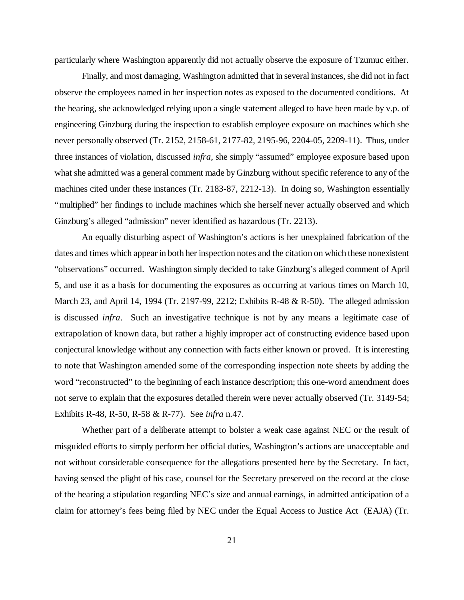particularly where Washington apparently did not actually observe the exposure of Tzumuc either.

Finally, and most damaging, Washington admitted that in several instances, she did not in fact observe the employees named in her inspection notes as exposed to the documented conditions. At the hearing, she acknowledged relying upon a single statement alleged to have been made by v.p. of engineering Ginzburg during the inspection to establish employee exposure on machines which she never personally observed (Tr. 2152, 2158-61, 2177-82, 2195-96, 2204-05, 2209-11). Thus, under three instances of violation, discussed *infra*, she simply "assumed" employee exposure based upon what she admitted was a general comment made by Ginzburg without specific reference to any of the machines cited under these instances (Tr. 2183-87, 2212-13). In doing so, Washington essentially "multiplied" her findings to include machines which she herself never actually observed and which Ginzburg's alleged "admission" never identified as hazardous (Tr. 2213).

An equally disturbing aspect of Washington's actions is her unexplained fabrication of the dates and times which appear in both her inspection notes and the citation on which these nonexistent "observations" occurred. Washington simply decided to take Ginzburg's alleged comment of April 5, and use it as a basis for documenting the exposures as occurring at various times on March 10, March 23, and April 14, 1994 (Tr. 2197-99, 2212; Exhibits R-48 & R-50). The alleged admission is discussed *infra*. Such an investigative technique is not by any means a legitimate case of extrapolation of known data, but rather a highly improper act of constructing evidence based upon conjectural knowledge without any connection with facts either known or proved. It is interesting to note that Washington amended some of the corresponding inspection note sheets by adding the word "reconstructed" to the beginning of each instance description; this one-word amendment does not serve to explain that the exposures detailed therein were never actually observed (Tr. 3149-54; Exhibits R-48, R-50, R-58 & R-77). See *infra* n.47.

Whether part of a deliberate attempt to bolster a weak case against NEC or the result of misguided efforts to simply perform her official duties, Washington's actions are unacceptable and not without considerable consequence for the allegations presented here by the Secretary. In fact, having sensed the plight of his case, counsel for the Secretary preserved on the record at the close of the hearing a stipulation regarding NEC's size and annual earnings, in admitted anticipation of a claim for attorney's fees being filed by NEC under the Equal Access to Justice Act (EAJA) (Tr.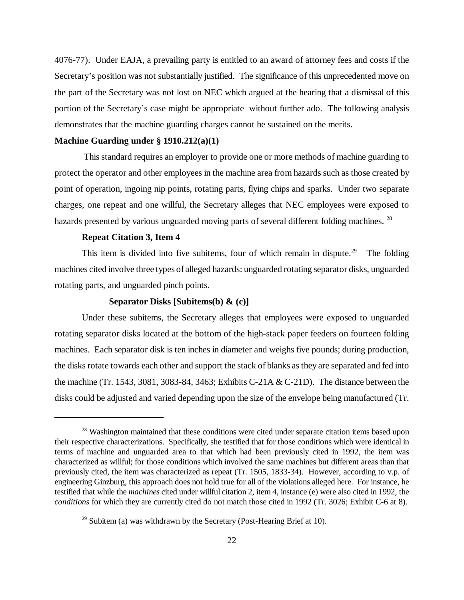4076-77). Under EAJA, a prevailing party is entitled to an award of attorney fees and costs if the Secretary's position was not substantially justified. The significance of this unprecedented move on the part of the Secretary was not lost on NEC which argued at the hearing that a dismissal of this portion of the Secretary's case might be appropriate without further ado. The following analysis demonstrates that the machine guarding charges cannot be sustained on the merits.

# **Machine Guarding under § 1910.212(a)(1)**

 This standard requires an employer to provide one or more methods of machine guarding to protect the operator and other employees in the machine area from hazards such as those created by point of operation, ingoing nip points, rotating parts, flying chips and sparks. Under two separate charges, one repeat and one willful, the Secretary alleges that NEC employees were exposed to hazards presented by various unguarded moving parts of several different folding machines. <sup>28</sup>

# **Repeat Citation 3, Item 4**

This item is divided into five subitems, four of which remain in dispute.<sup>29</sup> The folding machines cited involve three types of alleged hazards: unguarded rotating separator disks, unguarded rotating parts, and unguarded pinch points.

### **Separator Disks [Subitems(b) & (c)]**

Under these subitems, the Secretary alleges that employees were exposed to unguarded rotating separator disks located at the bottom of the high-stack paper feeders on fourteen folding machines. Each separator disk is ten inches in diameter and weighs five pounds; during production, the disks rotate towards each other and support the stack of blanks as they are separated and fed into the machine (Tr. 1543, 3081, 3083-84, 3463; Exhibits C-21A & C-21D). The distance between the disks could be adjusted and varied depending upon the size of the envelope being manufactured (Tr.

<sup>&</sup>lt;sup>28</sup> Washington maintained that these conditions were cited under separate citation items based upon their respective characterizations. Specifically, she testified that for those conditions which were identical in terms of machine and unguarded area to that which had been previously cited in 1992, the item was characterized as willful; for those conditions which involved the same machines but different areas than that previously cited, the item was characterized as repeat (Tr. 1505, 1833-34). However, according to v.p. of engineering Ginzburg, this approach does not hold true for all of the violations alleged here. For instance, he testified that while the *machines* cited under willful citation 2, item 4, instance (e) were also cited in 1992, the *conditions* for which they are currently cited do not match those cited in 1992 (Tr. 3026; Exhibit C-6 at 8).

 $29$  Subitem (a) was withdrawn by the Secretary (Post-Hearing Brief at 10).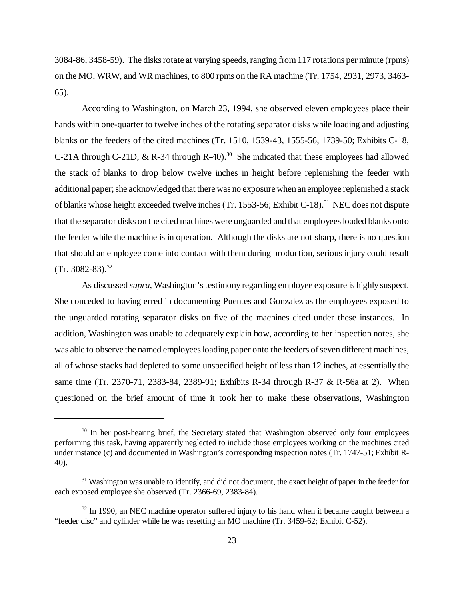3084-86, 3458-59). The disks rotate at varying speeds, ranging from 117 rotations per minute (rpms) on the MO, WRW, and WR machines, to 800 rpms on the RA machine (Tr. 1754, 2931, 2973, 3463- 65).

According to Washington, on March 23, 1994, she observed eleven employees place their hands within one-quarter to twelve inches of the rotating separator disks while loading and adjusting blanks on the feeders of the cited machines (Tr. 1510, 1539-43, 1555-56, 1739-50; Exhibits C-18, C-21A through C-21D,  $\&$  R-34 through R-40).<sup>30</sup> She indicated that these employees had allowed the stack of blanks to drop below twelve inches in height before replenishing the feeder with additional paper; she acknowledged that there was no exposure when an employee replenished a stack of blanks whose height exceeded twelve inches (Tr. 1553-56; Exhibit C-18).<sup>31</sup> NEC does not dispute that the separator disks on the cited machines were unguarded and that employees loaded blanks onto the feeder while the machine is in operation. Although the disks are not sharp, there is no question that should an employee come into contact with them during production, serious injury could result  $(Tr. 3082-83).^{32}$ 

As discussed *supra*, Washington's testimony regarding employee exposure is highly suspect. She conceded to having erred in documenting Puentes and Gonzalez as the employees exposed to the unguarded rotating separator disks on five of the machines cited under these instances. In addition, Washington was unable to adequately explain how, according to her inspection notes, she was able to observe the named employees loading paper onto the feeders of seven different machines, all of whose stacks had depleted to some unspecified height of less than 12 inches, at essentially the same time (Tr. 2370-71, 2383-84, 2389-91; Exhibits R-34 through R-37 & R-56a at 2). When questioned on the brief amount of time it took her to make these observations, Washington

<sup>&</sup>lt;sup>30</sup> In her post-hearing brief, the Secretary stated that Washington observed only four employees performing this task, having apparently neglected to include those employees working on the machines cited under instance (c) and documented in Washington's corresponding inspection notes (Tr. 1747-51; Exhibit R-40).

<sup>&</sup>lt;sup>31</sup> Washington was unable to identify, and did not document, the exact height of paper in the feeder for each exposed employee she observed (Tr. 2366-69, 2383-84).

 $32 \text{ In } 1990$ , an NEC machine operator suffered injury to his hand when it became caught between a "feeder disc" and cylinder while he was resetting an MO machine (Tr. 3459-62; Exhibit C-52).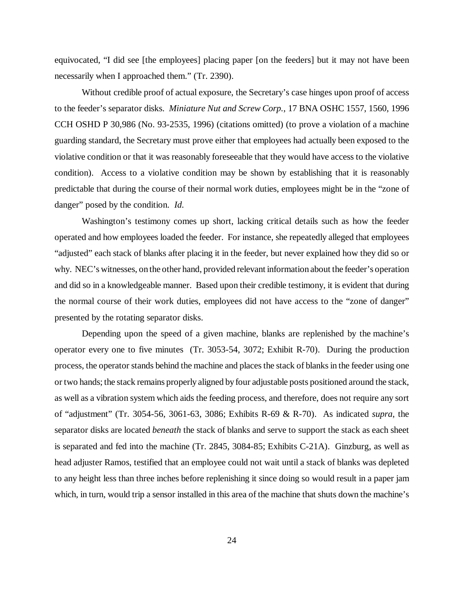equivocated, "I did see [the employees] placing paper [on the feeders] but it may not have been necessarily when I approached them." (Tr. 2390).

Without credible proof of actual exposure, the Secretary's case hinges upon proof of access to the feeder's separator disks. *Miniature Nut and Screw Corp.*, 17 BNA OSHC 1557, 1560, 1996 CCH OSHD P 30,986 (No. 93-2535, 1996) (citations omitted) (to prove a violation of a machine guarding standard, the Secretary must prove either that employees had actually been exposed to the violative condition or that it was reasonably foreseeable that they would have access to the violative condition). Access to a violative condition may be shown by establishing that it is reasonably predictable that during the course of their normal work duties, employees might be in the "zone of danger" posed by the condition. *Id.*

Washington's testimony comes up short, lacking critical details such as how the feeder operated and how employees loaded the feeder. For instance, she repeatedly alleged that employees "adjusted" each stack of blanks after placing it in the feeder, but never explained how they did so or why. NEC's witnesses, on the other hand, provided relevant information about the feeder's operation and did so in a knowledgeable manner. Based upon their credible testimony, it is evident that during the normal course of their work duties, employees did not have access to the "zone of danger" presented by the rotating separator disks.

Depending upon the speed of a given machine, blanks are replenished by the machine's operator every one to five minutes (Tr. 3053-54, 3072; Exhibit R-70). During the production process, the operator stands behind the machine and places the stack of blanks in the feeder using one or two hands; the stack remains properly aligned by four adjustable posts positioned around the stack, as well as a vibration system which aids the feeding process, and therefore, does not require any sort of "adjustment" (Tr. 3054-56, 3061-63, 3086; Exhibits R-69 & R-70). As indicated *supra*, the separator disks are located *beneath* the stack of blanks and serve to support the stack as each sheet is separated and fed into the machine (Tr. 2845, 3084-85; Exhibits C-21A). Ginzburg, as well as head adjuster Ramos, testified that an employee could not wait until a stack of blanks was depleted to any height less than three inches before replenishing it since doing so would result in a paper jam which, in turn, would trip a sensor installed in this area of the machine that shuts down the machine's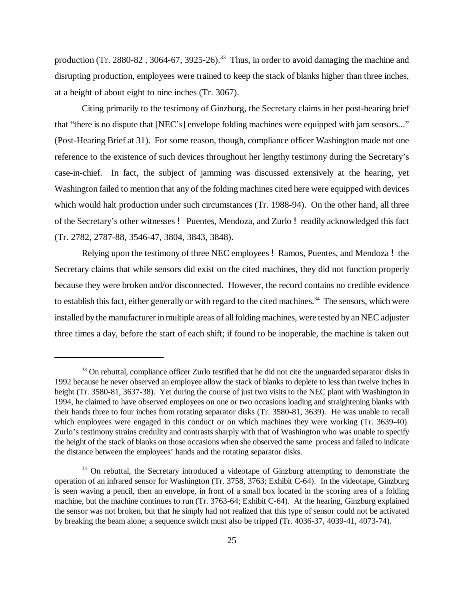production (Tr. 2880-82, 3064-67, 3925-26).<sup>33</sup> Thus, in order to avoid damaging the machine and disrupting production, employees were trained to keep the stack of blanks higher than three inches, at a height of about eight to nine inches (Tr. 3067).

Citing primarily to the testimony of Ginzburg, the Secretary claims in her post-hearing brief that "there is no dispute that [NEC's] envelope folding machines were equipped with jam sensors..." (Post-Hearing Brief at 31). For some reason, though, compliance officer Washington made not one reference to the existence of such devices throughout her lengthy testimony during the Secretary's case-in-chief. In fact, the subject of jamming was discussed extensively at the hearing, yet Washington failed to mention that any of the folding machines cited here were equipped with devices which would halt production under such circumstances (Tr. 1988-94). On the other hand, all three of the Secretary's other witnesses ! Puentes, Mendoza, and Zurlo ! readily acknowledged this fact (Tr. 2782, 2787-88, 3546-47, 3804, 3843, 3848).

Relying upon the testimony of three NEC employees ! Ramos, Puentes, and Mendoza ! the Secretary claims that while sensors did exist on the cited machines, they did not function properly because they were broken and/or disconnected. However, the record contains no credible evidence to establish this fact, either generally or with regard to the cited machines.<sup>34</sup> The sensors, which were installed by the manufacturer in multiple areas of all folding machines, were tested by an NEC adjuster three times a day, before the start of each shift; if found to be inoperable, the machine is taken out

<sup>&</sup>lt;sup>33</sup> On rebuttal, compliance officer Zurlo testified that he did not cite the unguarded separator disks in 1992 because he never observed an employee allow the stack of blanks to deplete to less than twelve inches in height (Tr. 3580-81, 3637-38). Yet during the course of just two visits to the NEC plant with Washington in 1994, he claimed to have observed employees on one or two occasions loading and straightening blanks with their hands three to four inches from rotating separator disks (Tr. 3580-81, 3639). He was unable to recall which employees were engaged in this conduct or on which machines they were working (Tr. 3639-40). Zurlo's testimony strains credulity and contrasts sharply with that of Washington who was unable to specify the height of the stack of blanks on those occasions when she observed the same process and failed to indicate the distance between the employees' hands and the rotating separator disks.

<sup>&</sup>lt;sup>34</sup> On rebuttal, the Secretary introduced a videotape of Ginzburg attempting to demonstrate the operation of an infrared sensor for Washington (Tr. 3758, 3763; Exhibit C-64). In the videotape, Ginzburg is seen waving a pencil, then an envelope, in front of a small box located in the scoring area of a folding machine, but the machine continues to run (Tr. 3763-64; Exhibit C-64). At the hearing, Ginzburg explained the sensor was not broken, but that he simply had not realized that this type of sensor could not be activated by breaking the beam alone; a sequence switch must also be tripped (Tr. 4036-37, 4039-41, 4073-74).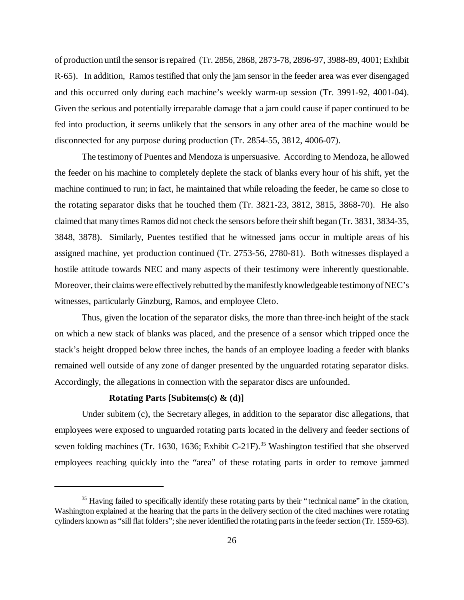of production until the sensor is repaired (Tr. 2856, 2868, 2873-78, 2896-97, 3988-89, 4001; Exhibit R-65). In addition, Ramos testified that only the jam sensor in the feeder area was ever disengaged and this occurred only during each machine's weekly warm-up session (Tr. 3991-92, 4001-04). Given the serious and potentially irreparable damage that a jam could cause if paper continued to be fed into production, it seems unlikely that the sensors in any other area of the machine would be disconnected for any purpose during production (Tr. 2854-55, 3812, 4006-07).

The testimony of Puentes and Mendoza is unpersuasive. According to Mendoza, he allowed the feeder on his machine to completely deplete the stack of blanks every hour of his shift, yet the machine continued to run; in fact, he maintained that while reloading the feeder, he came so close to the rotating separator disks that he touched them (Tr. 3821-23, 3812, 3815, 3868-70). He also claimed that many times Ramos did not check the sensors before their shift began (Tr. 3831, 3834-35, 3848, 3878). Similarly, Puentes testified that he witnessed jams occur in multiple areas of his assigned machine, yet production continued (Tr. 2753-56, 2780-81). Both witnesses displayed a hostile attitude towards NEC and many aspects of their testimony were inherently questionable. Moreover, their claims were effectively rebutted by the manifestly knowledgeable testimony of NEC's witnesses, particularly Ginzburg, Ramos, and employee Cleto.

Thus, given the location of the separator disks, the more than three-inch height of the stack on which a new stack of blanks was placed, and the presence of a sensor which tripped once the stack's height dropped below three inches, the hands of an employee loading a feeder with blanks remained well outside of any zone of danger presented by the unguarded rotating separator disks. Accordingly, the allegations in connection with the separator discs are unfounded.

# **Rotating Parts [Subitems(c) & (d)]**

Under subitem (c), the Secretary alleges, in addition to the separator disc allegations, that employees were exposed to unguarded rotating parts located in the delivery and feeder sections of seven folding machines (Tr. 1630, 1636; Exhibit C-21F).<sup>35</sup> Washington testified that she observed employees reaching quickly into the "area" of these rotating parts in order to remove jammed

 $35$  Having failed to specifically identify these rotating parts by their "technical name" in the citation, Washington explained at the hearing that the parts in the delivery section of the cited machines were rotating cylinders known as "sill flat folders"; she never identified the rotating parts in the feeder section (Tr. 1559-63).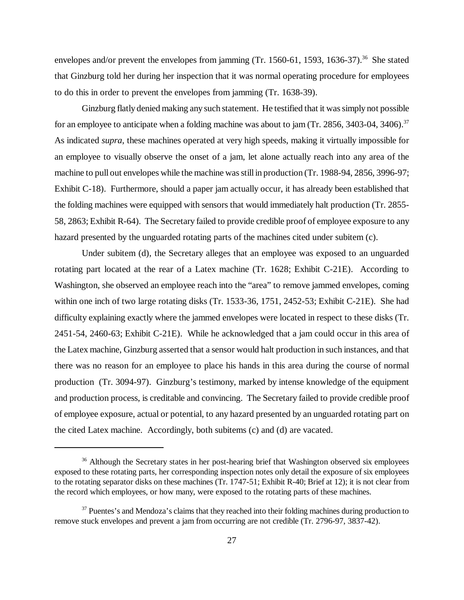envelopes and/or prevent the envelopes from jamming  $(Tr. 1560-61, 1593, 1636-37).$ <sup>36</sup> She stated that Ginzburg told her during her inspection that it was normal operating procedure for employees to do this in order to prevent the envelopes from jamming (Tr. 1638-39).

Ginzburg flatly denied making any such statement. He testified that it was simply not possible for an employee to anticipate when a folding machine was about to jam (Tr. 2856, 3403-04, 3406).<sup>37</sup> As indicated *supra*, these machines operated at very high speeds, making it virtually impossible for an employee to visually observe the onset of a jam, let alone actually reach into any area of the machine to pull out envelopes while the machine was still in production (Tr. 1988-94, 2856, 3996-97; Exhibit C-18). Furthermore, should a paper jam actually occur, it has already been established that the folding machines were equipped with sensors that would immediately halt production (Tr. 2855- 58, 2863; Exhibit R-64). The Secretary failed to provide credible proof of employee exposure to any hazard presented by the unguarded rotating parts of the machines cited under subitem (c).

Under subitem (d), the Secretary alleges that an employee was exposed to an unguarded rotating part located at the rear of a Latex machine (Tr. 1628; Exhibit C-21E). According to Washington, she observed an employee reach into the "area" to remove jammed envelopes, coming within one inch of two large rotating disks (Tr. 1533-36, 1751, 2452-53; Exhibit C-21E). She had difficulty explaining exactly where the jammed envelopes were located in respect to these disks (Tr. 2451-54, 2460-63; Exhibit C-21E). While he acknowledged that a jam could occur in this area of the Latex machine, Ginzburg asserted that a sensor would halt production in such instances, and that there was no reason for an employee to place his hands in this area during the course of normal production (Tr. 3094-97). Ginzburg's testimony, marked by intense knowledge of the equipment and production process, is creditable and convincing. The Secretary failed to provide credible proof of employee exposure, actual or potential, to any hazard presented by an unguarded rotating part on the cited Latex machine. Accordingly, both subitems (c) and (d) are vacated.

<sup>&</sup>lt;sup>36</sup> Although the Secretary states in her post-hearing brief that Washington observed six employees exposed to these rotating parts, her corresponding inspection notes only detail the exposure of six employees to the rotating separator disks on these machines (Tr. 1747-51; Exhibit R-40; Brief at 12); it is not clear from the record which employees, or how many, were exposed to the rotating parts of these machines.

 $37$  Puentes's and Mendoza's claims that they reached into their folding machines during production to remove stuck envelopes and prevent a jam from occurring are not credible (Tr. 2796-97, 3837-42).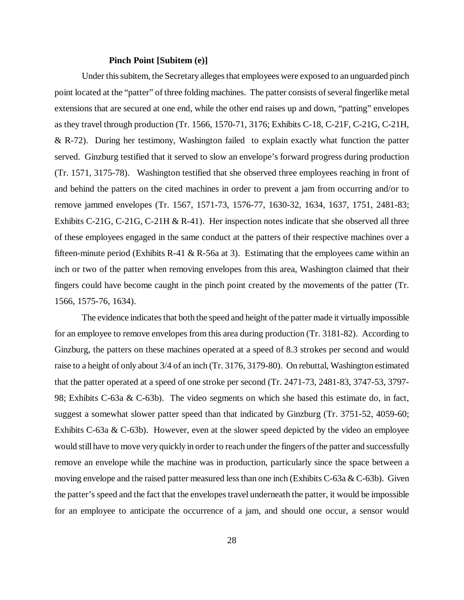#### **Pinch Point [Subitem (e)]**

Under this subitem, the Secretary alleges that employees were exposed to an unguarded pinch point located at the "patter" of three folding machines. The patter consists of several fingerlike metal extensions that are secured at one end, while the other end raises up and down, "patting" envelopes as they travel through production (Tr. 1566, 1570-71, 3176; Exhibits C-18, C-21F, C-21G, C-21H, & R-72). During her testimony, Washington failed to explain exactly what function the patter served. Ginzburg testified that it served to slow an envelope's forward progress during production (Tr. 1571, 3175-78). Washington testified that she observed three employees reaching in front of and behind the patters on the cited machines in order to prevent a jam from occurring and/or to remove jammed envelopes (Tr. 1567, 1571-73, 1576-77, 1630-32, 1634, 1637, 1751, 2481-83; Exhibits C-21G, C-21G, C-21H & R-41). Her inspection notes indicate that she observed all three of these employees engaged in the same conduct at the patters of their respective machines over a fifteen-minute period (Exhibits R-41 & R-56a at 3). Estimating that the employees came within an inch or two of the patter when removing envelopes from this area, Washington claimed that their fingers could have become caught in the pinch point created by the movements of the patter (Tr. 1566, 1575-76, 1634).

The evidence indicates that both the speed and height of the patter made it virtually impossible for an employee to remove envelopes from this area during production (Tr. 3181-82). According to Ginzburg, the patters on these machines operated at a speed of 8.3 strokes per second and would raise to a height of only about 3/4 of an inch (Tr. 3176, 3179-80). On rebuttal, Washington estimated that the patter operated at a speed of one stroke per second (Tr. 2471-73, 2481-83, 3747-53, 3797- 98; Exhibits C-63a & C-63b). The video segments on which she based this estimate do, in fact, suggest a somewhat slower patter speed than that indicated by Ginzburg (Tr. 3751-52, 4059-60; Exhibits C-63a & C-63b). However, even at the slower speed depicted by the video an employee would still have to move very quickly in order to reach under the fingers of the patter and successfully remove an envelope while the machine was in production, particularly since the space between a moving envelope and the raised patter measured less than one inch (Exhibits C-63a & C-63b). Given the patter's speed and the fact that the envelopes travel underneath the patter, it would be impossible for an employee to anticipate the occurrence of a jam, and should one occur, a sensor would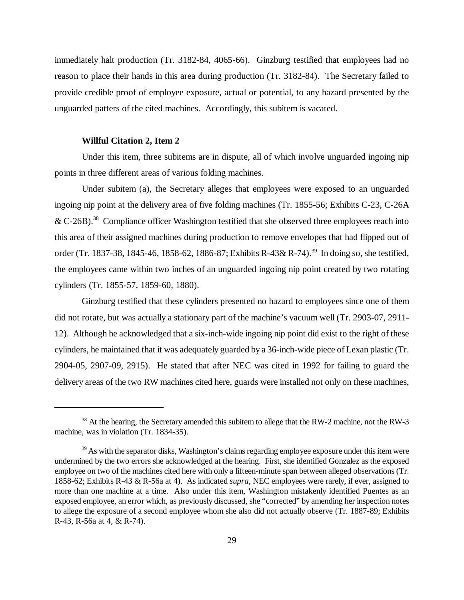immediately halt production (Tr. 3182-84, 4065-66). Ginzburg testified that employees had no reason to place their hands in this area during production (Tr. 3182-84). The Secretary failed to provide credible proof of employee exposure, actual or potential, to any hazard presented by the unguarded patters of the cited machines. Accordingly, this subitem is vacated.

#### **Willful Citation 2, Item 2**

Under this item, three subitems are in dispute, all of which involve unguarded ingoing nip points in three different areas of various folding machines.

Under subitem (a), the Secretary alleges that employees were exposed to an unguarded ingoing nip point at the delivery area of five folding machines (Tr. 1855-56; Exhibits C-23, C-26A  $&$  C-26B).<sup>38</sup> Compliance officer Washington testified that she observed three employees reach into this area of their assigned machines during production to remove envelopes that had flipped out of order (Tr. 1837-38, 1845-46, 1858-62, 1886-87; Exhibits R-43& R-74).<sup>39</sup> In doing so, she testified, the employees came within two inches of an unguarded ingoing nip point created by two rotating cylinders (Tr. 1855-57, 1859-60, 1880).

Ginzburg testified that these cylinders presented no hazard to employees since one of them did not rotate, but was actually a stationary part of the machine's vacuum well (Tr. 2903-07, 2911- 12). Although he acknowledged that a six-inch-wide ingoing nip point did exist to the right of these cylinders, he maintained that it was adequately guarded by a 36-inch-wide piece of Lexan plastic (Tr. 2904-05, 2907-09, 2915). He stated that after NEC was cited in 1992 for failing to guard the delivery areas of the two RW machines cited here, guards were installed not only on these machines,

<sup>&</sup>lt;sup>38</sup> At the hearing, the Secretary amended this subitem to allege that the RW-2 machine, not the RW-3 machine, was in violation (Tr. 1834-35).

 $39$  As with the separator disks, Washington's claims regarding employee exposure under this item were undermined by the two errors she acknowledged at the hearing. First, she identified Gonzalez as the exposed employee on two of the machines cited here with only a fifteen-minute span between alleged observations (Tr. 1858-62; Exhibits R-43 & R-56a at 4). As indicated *supra*, NEC employees were rarely, if ever, assigned to more than one machine at a time. Also under this item, Washington mistakenly identified Puentes as an exposed employee, an error which, as previously discussed, she "corrected" by amending her inspection notes to allege the exposure of a second employee whom she also did not actually observe (Tr. 1887-89; Exhibits R-43, R-56a at 4, & R-74).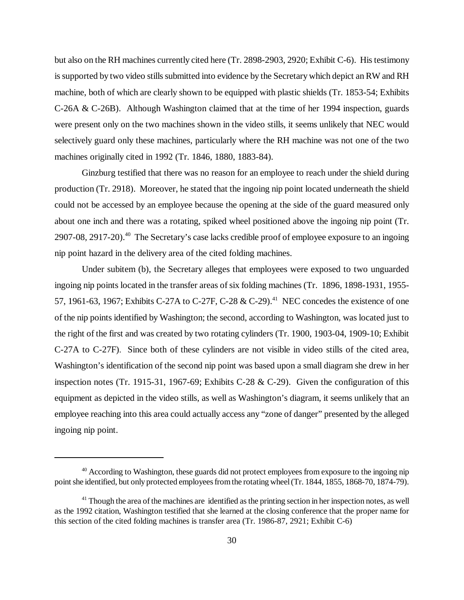but also on the RH machines currently cited here (Tr. 2898-2903, 2920; Exhibit C-6). His testimony is supported by two video stills submitted into evidence by the Secretary which depict an RW and RH machine, both of which are clearly shown to be equipped with plastic shields (Tr. 1853-54; Exhibits C-26A & C-26B). Although Washington claimed that at the time of her 1994 inspection, guards were present only on the two machines shown in the video stills, it seems unlikely that NEC would selectively guard only these machines, particularly where the RH machine was not one of the two machines originally cited in 1992 (Tr. 1846, 1880, 1883-84).

Ginzburg testified that there was no reason for an employee to reach under the shield during production (Tr. 2918). Moreover, he stated that the ingoing nip point located underneath the shield could not be accessed by an employee because the opening at the side of the guard measured only about one inch and there was a rotating, spiked wheel positioned above the ingoing nip point (Tr.  $2907-08$ ,  $2917-20$ ).<sup>40</sup> The Secretary's case lacks credible proof of employee exposure to an ingoing nip point hazard in the delivery area of the cited folding machines.

Under subitem (b), the Secretary alleges that employees were exposed to two unguarded ingoing nip points located in the transfer areas of six folding machines (Tr. 1896, 1898-1931, 1955- 57, 1961-63, 1967; Exhibits C-27A to C-27F, C-28 & C-29).<sup>41</sup> NEC concedes the existence of one of the nip points identified by Washington; the second, according to Washington, was located just to the right of the first and was created by two rotating cylinders (Tr. 1900, 1903-04, 1909-10; Exhibit C-27A to C-27F). Since both of these cylinders are not visible in video stills of the cited area, Washington's identification of the second nip point was based upon a small diagram she drew in her inspection notes (Tr. 1915-31, 1967-69; Exhibits C-28 & C-29). Given the configuration of this equipment as depicted in the video stills, as well as Washington's diagram, it seems unlikely that an employee reaching into this area could actually access any "zone of danger" presented by the alleged ingoing nip point.

<sup>&</sup>lt;sup>40</sup> According to Washington, these guards did not protect employees from exposure to the ingoing nip point she identified, but only protected employees from the rotating wheel (Tr. 1844, 1855, 1868-70, 1874-79).

<sup>&</sup>lt;sup>41</sup> Though the area of the machines are identified as the printing section in her inspection notes, as well as the 1992 citation, Washington testified that she learned at the closing conference that the proper name for this section of the cited folding machines is transfer area (Tr. 1986-87, 2921; Exhibit C-6)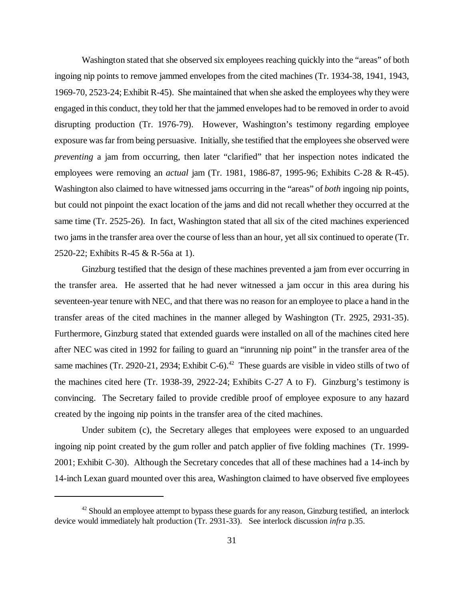Washington stated that she observed six employees reaching quickly into the "areas" of both ingoing nip points to remove jammed envelopes from the cited machines (Tr. 1934-38, 1941, 1943, 1969-70, 2523-24; Exhibit R-45). She maintained that when she asked the employees why they were engaged in this conduct, they told her that the jammed envelopes had to be removed in order to avoid disrupting production (Tr. 1976-79). However, Washington's testimony regarding employee exposure was far from being persuasive. Initially, she testified that the employees she observed were *preventing* a jam from occurring, then later "clarified" that her inspection notes indicated the employees were removing an *actual* jam (Tr. 1981, 1986-87, 1995-96; Exhibits C-28 & R-45). Washington also claimed to have witnessed jams occurring in the "areas" of *both* ingoing nip points, but could not pinpoint the exact location of the jams and did not recall whether they occurred at the same time (Tr. 2525-26). In fact, Washington stated that all six of the cited machines experienced two jams in the transfer area over the course of less than an hour, yet all six continued to operate (Tr. 2520-22; Exhibits R-45 & R-56a at 1).

Ginzburg testified that the design of these machines prevented a jam from ever occurring in the transfer area. He asserted that he had never witnessed a jam occur in this area during his seventeen-year tenure with NEC, and that there was no reason for an employee to place a hand in the transfer areas of the cited machines in the manner alleged by Washington (Tr. 2925, 2931-35). Furthermore, Ginzburg stated that extended guards were installed on all of the machines cited here after NEC was cited in 1992 for failing to guard an "inrunning nip point" in the transfer area of the same machines (Tr. 2920-21, 2934; Exhibit C-6).<sup>42</sup> These guards are visible in video stills of two of the machines cited here (Tr. 1938-39, 2922-24; Exhibits C-27 A to F). Ginzburg's testimony is convincing. The Secretary failed to provide credible proof of employee exposure to any hazard created by the ingoing nip points in the transfer area of the cited machines.

Under subitem (c), the Secretary alleges that employees were exposed to an unguarded ingoing nip point created by the gum roller and patch applier of five folding machines (Tr. 1999- 2001; Exhibit C-30). Although the Secretary concedes that all of these machines had a 14-inch by 14-inch Lexan guard mounted over this area, Washington claimed to have observed five employees

 $42$  Should an employee attempt to bypass these guards for any reason, Ginzburg testified, an interlock device would immediately halt production (Tr. 2931-33). See interlock discussion *infra* p.35.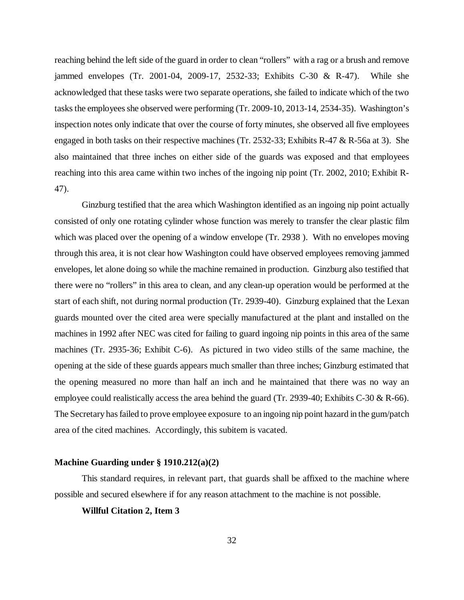reaching behind the left side of the guard in order to clean "rollers" with a rag or a brush and remove jammed envelopes (Tr. 2001-04, 2009-17, 2532-33; Exhibits C-30 & R-47). While she acknowledged that these tasks were two separate operations, she failed to indicate which of the two tasks the employees she observed were performing (Tr. 2009-10, 2013-14, 2534-35). Washington's inspection notes only indicate that over the course of forty minutes, she observed all five employees engaged in both tasks on their respective machines (Tr. 2532-33; Exhibits R-47 & R-56a at 3). She also maintained that three inches on either side of the guards was exposed and that employees reaching into this area came within two inches of the ingoing nip point (Tr. 2002, 2010; Exhibit R-47).

Ginzburg testified that the area which Washington identified as an ingoing nip point actually consisted of only one rotating cylinder whose function was merely to transfer the clear plastic film which was placed over the opening of a window envelope (Tr. 2938). With no envelopes moving through this area, it is not clear how Washington could have observed employees removing jammed envelopes, let alone doing so while the machine remained in production. Ginzburg also testified that there were no "rollers" in this area to clean, and any clean-up operation would be performed at the start of each shift, not during normal production (Tr. 2939-40). Ginzburg explained that the Lexan guards mounted over the cited area were specially manufactured at the plant and installed on the machines in 1992 after NEC was cited for failing to guard ingoing nip points in this area of the same machines (Tr. 2935-36; Exhibit C-6). As pictured in two video stills of the same machine, the opening at the side of these guards appears much smaller than three inches; Ginzburg estimated that the opening measured no more than half an inch and he maintained that there was no way an employee could realistically access the area behind the guard (Tr. 2939-40; Exhibits C-30  $\&$  R-66). The Secretary has failed to prove employee exposure to an ingoing nip point hazard in the gum/patch area of the cited machines. Accordingly, this subitem is vacated.

# **Machine Guarding under § 1910.212(a)(2)**

This standard requires, in relevant part, that guards shall be affixed to the machine where possible and secured elsewhere if for any reason attachment to the machine is not possible.

# **Willful Citation 2, Item 3**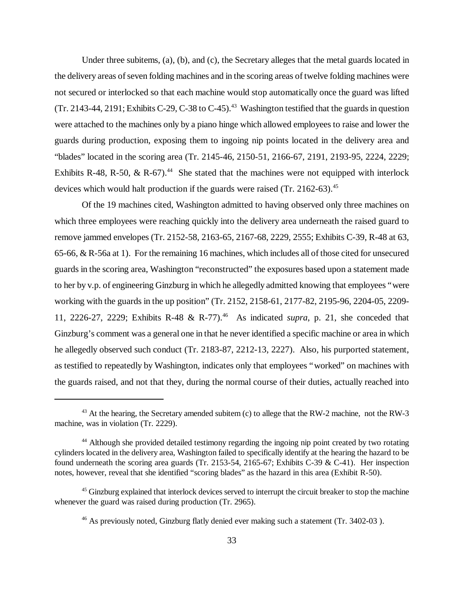Under three subitems, (a), (b), and (c), the Secretary alleges that the metal guards located in the delivery areas of seven folding machines and in the scoring areas of twelve folding machines were not secured or interlocked so that each machine would stop automatically once the guard was lifted (Tr. 2143-44, 2191; Exhibits C-29, C-38 to C-45).<sup>43</sup> Washington testified that the guards in question were attached to the machines only by a piano hinge which allowed employees to raise and lower the guards during production, exposing them to ingoing nip points located in the delivery area and "blades" located in the scoring area (Tr. 2145-46, 2150-51, 2166-67, 2191, 2193-95, 2224, 2229; Exhibits R-48, R-50, & R-67).<sup>44</sup> She stated that the machines were not equipped with interlock devices which would halt production if the guards were raised  $(Tr. 2162-63).$ <sup>45</sup>

Of the 19 machines cited, Washington admitted to having observed only three machines on which three employees were reaching quickly into the delivery area underneath the raised guard to remove jammed envelopes (Tr. 2152-58, 2163-65, 2167-68, 2229, 2555; Exhibits C-39, R-48 at 63, 65-66, & R-56a at 1). For the remaining 16 machines, which includes all of those cited for unsecured guards in the scoring area, Washington "reconstructed" the exposures based upon a statement made to her by v.p. of engineering Ginzburg in which he allegedly admitted knowing that employees "were working with the guards in the up position" (Tr. 2152, 2158-61, 2177-82, 2195-96, 2204-05, 2209- 11, 2226-27, 2229; Exhibits R-48 & R-77).<sup>46</sup> As indicated *supra*, p. 21, she conceded that Ginzburg's comment was a general one in that he never identified a specific machine or area in which he allegedly observed such conduct (Tr. 2183-87, 2212-13, 2227). Also, his purported statement, as testified to repeatedly by Washington, indicates only that employees "worked" on machines with the guards raised, and not that they, during the normal course of their duties, actually reached into

 $43$  At the hearing, the Secretary amended subitem (c) to allege that the RW-2 machine, not the RW-3 machine, was in violation (Tr. 2229).

<sup>&</sup>lt;sup>44</sup> Although she provided detailed testimony regarding the ingoing nip point created by two rotating cylinders located in the delivery area, Washington failed to specifically identify at the hearing the hazard to be found underneath the scoring area guards (Tr. 2153-54, 2165-67; Exhibits C-39 & C-41). Her inspection notes, however, reveal that she identified "scoring blades" as the hazard in this area (Exhibit R-50).

<sup>&</sup>lt;sup>45</sup> Ginzburg explained that interlock devices served to interrupt the circuit breaker to stop the machine whenever the guard was raised during production (Tr. 2965).

<sup>&</sup>lt;sup>46</sup> As previously noted, Ginzburg flatly denied ever making such a statement (Tr. 3402-03).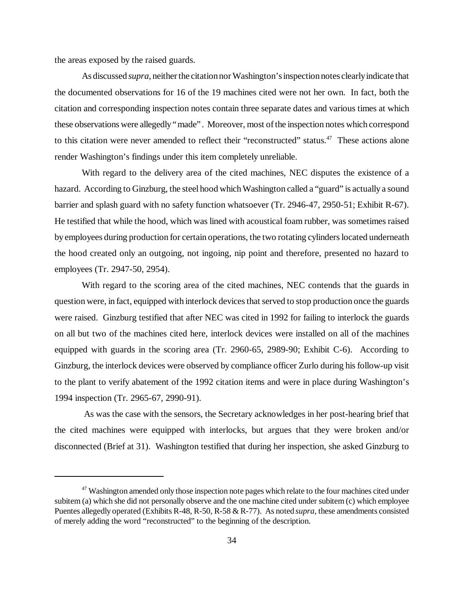the areas exposed by the raised guards.

As discussed *supra*, neither the citation nor Washington's inspection notes clearly indicate that the documented observations for 16 of the 19 machines cited were not her own. In fact, both the citation and corresponding inspection notes contain three separate dates and various times at which these observations were allegedly "made". Moreover, most of the inspection notes which correspond to this citation were never amended to reflect their "reconstructed" status. $47$  These actions alone render Washington's findings under this item completely unreliable.

With regard to the delivery area of the cited machines, NEC disputes the existence of a hazard. According to Ginzburg, the steel hood which Washington called a "guard" is actually a sound barrier and splash guard with no safety function whatsoever (Tr. 2946-47, 2950-51; Exhibit R-67). He testified that while the hood, which was lined with acoustical foam rubber, was sometimes raised by employees during production for certain operations, the two rotating cylinders located underneath the hood created only an outgoing, not ingoing, nip point and therefore, presented no hazard to employees (Tr. 2947-50, 2954).

With regard to the scoring area of the cited machines, NEC contends that the guards in question were, in fact, equipped with interlock devices that served to stop production once the guards were raised. Ginzburg testified that after NEC was cited in 1992 for failing to interlock the guards on all but two of the machines cited here, interlock devices were installed on all of the machines equipped with guards in the scoring area (Tr. 2960-65, 2989-90; Exhibit C-6). According to Ginzburg, the interlock devices were observed by compliance officer Zurlo during his follow-up visit to the plant to verify abatement of the 1992 citation items and were in place during Washington's 1994 inspection (Tr. 2965-67, 2990-91).

 As was the case with the sensors, the Secretary acknowledges in her post-hearing brief that the cited machines were equipped with interlocks, but argues that they were broken and/or disconnected (Brief at 31). Washington testified that during her inspection, she asked Ginzburg to

<sup>&</sup>lt;sup>47</sup> Washington amended only those inspection note pages which relate to the four machines cited under subitem (a) which she did not personally observe and the one machine cited under subitem (c) which employee Puentes allegedly operated (Exhibits R-48, R-50, R-58 & R-77). As noted *supra*, these amendments consisted of merely adding the word "reconstructed" to the beginning of the description.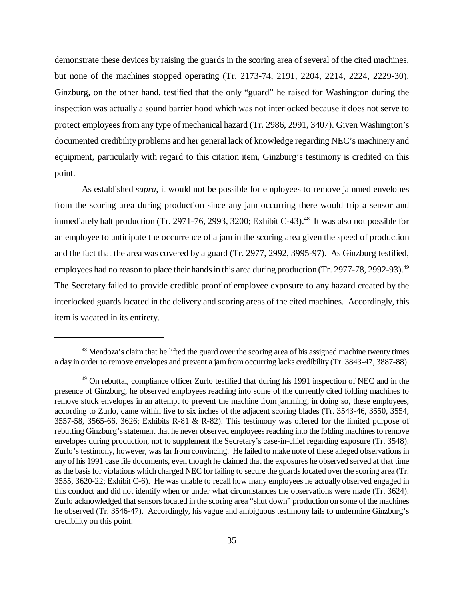demonstrate these devices by raising the guards in the scoring area of several of the cited machines, but none of the machines stopped operating (Tr. 2173-74, 2191, 2204, 2214, 2224, 2229-30). Ginzburg, on the other hand, testified that the only "guard" he raised for Washington during the inspection was actually a sound barrier hood which was not interlocked because it does not serve to protect employees from any type of mechanical hazard (Tr. 2986, 2991, 3407). Given Washington's documented credibility problems and her general lack of knowledge regarding NEC's machinery and equipment, particularly with regard to this citation item, Ginzburg's testimony is credited on this point.

As established *supra*, it would not be possible for employees to remove jammed envelopes from the scoring area during production since any jam occurring there would trip a sensor and immediately halt production (Tr. 2971-76, 2993, 3200; Exhibit C-43).<sup>48</sup> It was also not possible for an employee to anticipate the occurrence of a jam in the scoring area given the speed of production and the fact that the area was covered by a guard (Tr. 2977, 2992, 3995-97). As Ginzburg testified, employees had no reason to place their hands in this area during production (Tr. 2977-78, 2992-93).<sup>49</sup> The Secretary failed to provide credible proof of employee exposure to any hazard created by the interlocked guards located in the delivery and scoring areas of the cited machines. Accordingly, this item is vacated in its entirety.

<sup>&</sup>lt;sup>48</sup> Mendoza's claim that he lifted the guard over the scoring area of his assigned machine twenty times a day in order to remove envelopes and prevent a jam from occurring lacks credibility (Tr. 3843-47, 3887-88).

<sup>&</sup>lt;sup>49</sup> On rebuttal, compliance officer Zurlo testified that during his 1991 inspection of NEC and in the presence of Ginzburg, he observed employees reaching into some of the currently cited folding machines to remove stuck envelopes in an attempt to prevent the machine from jamming; in doing so, these employees, according to Zurlo, came within five to six inches of the adjacent scoring blades (Tr. 3543-46, 3550, 3554, 3557-58, 3565-66, 3626; Exhibits R-81 & R-82). This testimony was offered for the limited purpose of rebutting Ginzburg's statement that he never observed employees reaching into the folding machines to remove envelopes during production, not to supplement the Secretary's case-in-chief regarding exposure (Tr. 3548). Zurlo's testimony, however, was far from convincing. He failed to make note of these alleged observations in any of his 1991 case file documents, even though he claimed that the exposures he observed served at that time as the basis for violations which charged NEC for failing to secure the guards located over the scoring area (Tr. 3555, 3620-22; Exhibit C-6). He was unable to recall how many employees he actually observed engaged in this conduct and did not identify when or under what circumstances the observations were made (Tr. 3624). Zurlo acknowledged that sensors located in the scoring area "shut down" production on some of the machines he observed (Tr. 3546-47). Accordingly, his vague and ambiguous testimony fails to undermine Ginzburg's credibility on this point.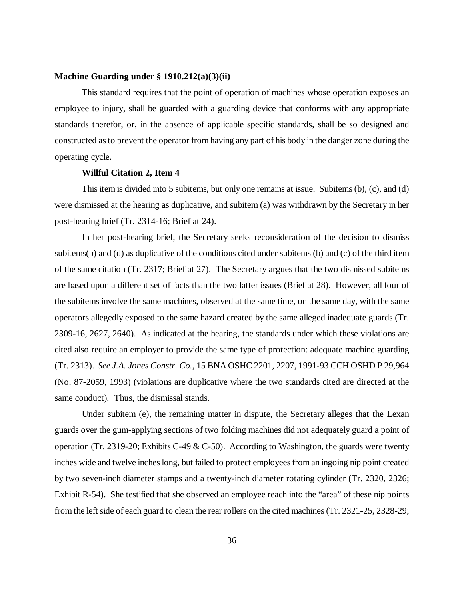# **Machine Guarding under § 1910.212(a)(3)(ii)**

This standard requires that the point of operation of machines whose operation exposes an employee to injury, shall be guarded with a guarding device that conforms with any appropriate standards therefor, or, in the absence of applicable specific standards, shall be so designed and constructed as to prevent the operator from having any part of his body in the danger zone during the operating cycle.

#### **Willful Citation 2, Item 4**

This item is divided into 5 subitems, but only one remains at issue. Subitems (b), (c), and (d) were dismissed at the hearing as duplicative, and subitem (a) was withdrawn by the Secretary in her post-hearing brief (Tr. 2314-16; Brief at 24).

In her post-hearing brief, the Secretary seeks reconsideration of the decision to dismiss subitems(b) and (d) as duplicative of the conditions cited under subitems (b) and (c) of the third item of the same citation (Tr. 2317; Brief at 27). The Secretary argues that the two dismissed subitems are based upon a different set of facts than the two latter issues (Brief at 28). However, all four of the subitems involve the same machines, observed at the same time, on the same day, with the same operators allegedly exposed to the same hazard created by the same alleged inadequate guards (Tr. 2309-16, 2627, 2640). As indicated at the hearing, the standards under which these violations are cited also require an employer to provide the same type of protection: adequate machine guarding (Tr. 2313). *See J.A. Jones Constr. Co.*, 15 BNA OSHC 2201, 2207, 1991-93 CCH OSHD P 29,964 (No. 87-2059, 1993) (violations are duplicative where the two standards cited are directed at the same conduct)*.* Thus, the dismissal stands.

Under subitem (e), the remaining matter in dispute, the Secretary alleges that the Lexan guards over the gum-applying sections of two folding machines did not adequately guard a point of operation (Tr. 2319-20; Exhibits C-49 & C-50). According to Washington, the guards were twenty inches wide and twelve inches long, but failed to protect employees from an ingoing nip point created by two seven-inch diameter stamps and a twenty-inch diameter rotating cylinder (Tr. 2320, 2326; Exhibit R-54). She testified that she observed an employee reach into the "area" of these nip points from the left side of each guard to clean the rear rollers on the cited machines (Tr. 2321-25, 2328-29;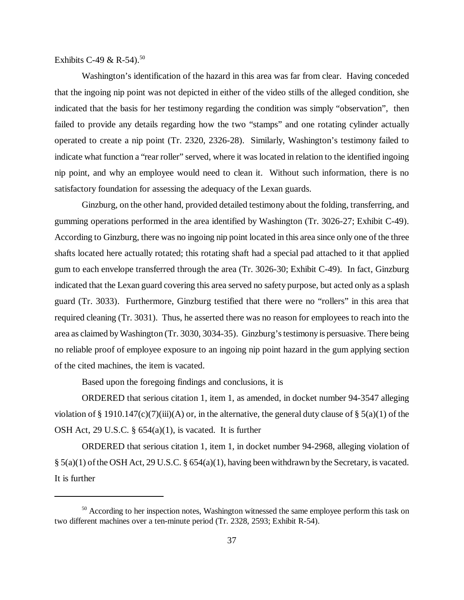Exhibits C-49 & R-54).<sup>50</sup>

Washington's identification of the hazard in this area was far from clear. Having conceded that the ingoing nip point was not depicted in either of the video stills of the alleged condition, she indicated that the basis for her testimony regarding the condition was simply "observation", then failed to provide any details regarding how the two "stamps" and one rotating cylinder actually operated to create a nip point (Tr. 2320, 2326-28). Similarly, Washington's testimony failed to indicate what function a "rear roller" served, where it was located in relation to the identified ingoing nip point, and why an employee would need to clean it. Without such information, there is no satisfactory foundation for assessing the adequacy of the Lexan guards.

Ginzburg, on the other hand, provided detailed testimony about the folding, transferring, and gumming operations performed in the area identified by Washington (Tr. 3026-27; Exhibit C-49). According to Ginzburg, there was no ingoing nip point located in this area since only one of the three shafts located here actually rotated; this rotating shaft had a special pad attached to it that applied gum to each envelope transferred through the area (Tr. 3026-30; Exhibit C-49). In fact, Ginzburg indicated that the Lexan guard covering this area served no safety purpose, but acted only as a splash guard (Tr. 3033). Furthermore, Ginzburg testified that there were no "rollers" in this area that required cleaning (Tr. 3031). Thus, he asserted there was no reason for employees to reach into the area as claimed by Washington (Tr. 3030, 3034-35). Ginzburg's testimony is persuasive. There being no reliable proof of employee exposure to an ingoing nip point hazard in the gum applying section of the cited machines, the item is vacated.

Based upon the foregoing findings and conclusions, it is

ORDERED that serious citation 1, item 1, as amended, in docket number 94-3547 alleging violation of § 1910.147(c)(7)(iii)(A) or, in the alternative, the general duty clause of § 5(a)(1) of the OSH Act, 29 U.S.C. § 654(a)(1), is vacated. It is further

ORDERED that serious citation 1, item 1, in docket number 94-2968, alleging violation of § 5(a)(1) of the OSH Act, 29 U.S.C. § 654(a)(1), having been withdrawn by the Secretary, is vacated. It is further

<sup>&</sup>lt;sup>50</sup> According to her inspection notes, Washington witnessed the same employee perform this task on two different machines over a ten-minute period (Tr. 2328, 2593; Exhibit R-54).